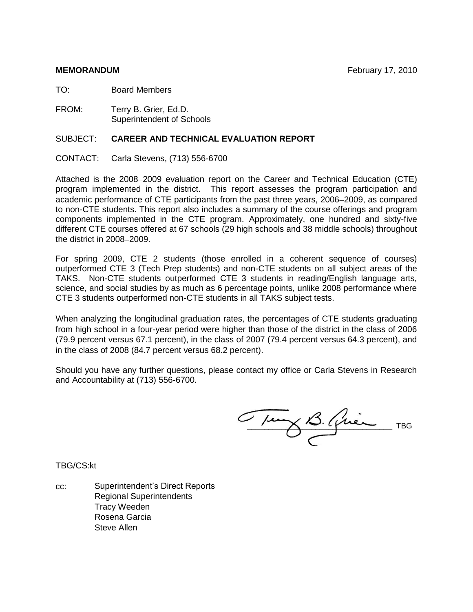TO: Board Members

FROM: Terry B. Grier, Ed.D. Superintendent of Schools

# SUBJECT: **CAREER AND TECHNICAL EVALUATION REPORT**

CONTACT: Carla Stevens, (713) 556-6700

Attached is the 2008–2009 evaluation report on the Career and Technical Education (CTE) program implemented in the district. This report assesses the program participation and academic performance of CTE participants from the past three years, 2006–2009, as compared to non-CTE students. This report also includes a summary of the course offerings and program components implemented in the CTE program. Approximately, one hundred and sixty-five different CTE courses offered at 67 schools (29 high schools and 38 middle schools) throughout the district in  $2008 - 2009$ .

For spring 2009, CTE 2 students (those enrolled in a coherent sequence of courses) outperformed CTE 3 (Tech Prep students) and non-CTE students on all subject areas of the TAKS. Non-CTE students outperformed CTE 3 students in reading/English language arts, science, and social studies by as much as 6 percentage points, unlike 2008 performance where CTE 3 students outperformed non-CTE students in all TAKS subject tests.

When analyzing the longitudinal graduation rates, the percentages of CTE students graduating from high school in a four-year period were higher than those of the district in the class of 2006 (79.9 percent versus 67.1 percent), in the class of 2007 (79.4 percent versus 64.3 percent), and in the class of 2008 (84.7 percent versus 68.2 percent).

Should you have any further questions, please contact my office or Carla Stevens in Research and Accountability at (713) 556-6700.

Tuny B. Quien TBG

TBG/CS:kt

cc: Superintendent's Direct Reports Regional Superintendents Tracy Weeden Rosena Garcia Steve Allen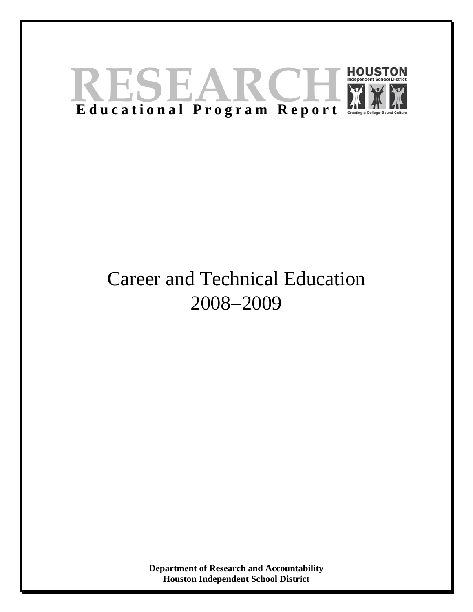

# Career and Technical Education 2008−2009

**Department of Research and Accountability Houston Independent School District**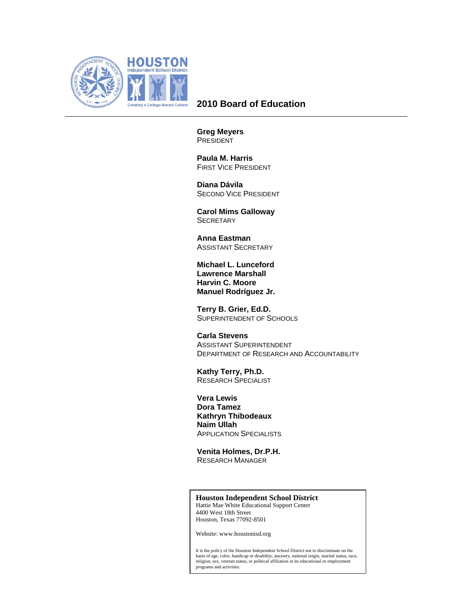

# **2010 Board of Education**

**Greg Meyers**  PRESIDENT

 **Paula M. Harris**  FIRST VICE PRESIDENT

 **Diana Dávila**  SECOND VICE PRESIDENT

 **Carol Mims Galloway SECRETARY** 

 **Anna Eastman**  ASSISTANT SECRETARY

**Michael L. Lunceford Lawrence Marshall Harvin C. Moore Manuel Rodríguez Jr.** 

 **Terry B. Grier, Ed.D.**  SUPERINTENDENT OF SCHOOLS

 **Carla Stevens**  ASSISTANT SUPERINTENDENT DEPARTMENT OF RESEARCH AND ACCOUNTABILITY

 **Kathy Terry, Ph.D.**  RESEARCH SPECIALIST

 **Vera Lewis Dora Tamez Kathryn Thibodeaux Naim Ullah**  APPLICATION SPECIALISTS

 **Venita Holmes, Dr.P.H.**  RESEARCH MANAGER

#### **Houston Independent School District**

Hattie Mae White Educational Support Center 4400 West 18th Street Houston, Texas 77092-8501

Website: www.houstonisd.org

It is the policy of the Houston Independent School District not to discriminate on the basis of age, color, handicap or disability, ancestry, naitonal origin, marital status, race, religion, sex, veteran status, or political affiliation in its educational or employment programs and activities.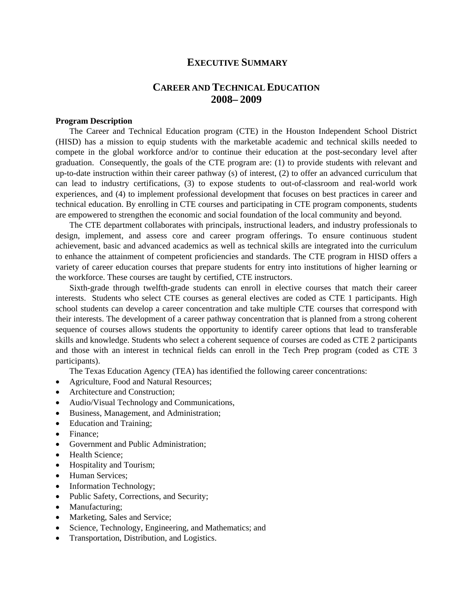# **EXECUTIVE SUMMARY**

# **CAREER AND TECHNICAL EDUCATION 2008– 2009**

#### **Program Description**

The Career and Technical Education program (CTE) in the Houston Independent School District (HISD) has a mission to equip students with the marketable academic and technical skills needed to compete in the global workforce and/or to continue their education at the post-secondary level after graduation. Consequently, the goals of the CTE program are: (1) to provide students with relevant and up-to-date instruction within their career pathway (s) of interest, (2) to offer an advanced curriculum that can lead to industry certifications, (3) to expose students to out-of-classroom and real-world work experiences, and (4) to implement professional development that focuses on best practices in career and technical education. By enrolling in CTE courses and participating in CTE program components, students are empowered to strengthen the economic and social foundation of the local community and beyond.

The CTE department collaborates with principals, instructional leaders, and industry professionals to design, implement, and assess core and career program offerings. To ensure continuous student achievement, basic and advanced academics as well as technical skills are integrated into the curriculum to enhance the attainment of competent proficiencies and standards. The CTE program in HISD offers a variety of career education courses that prepare students for entry into institutions of higher learning or the workforce. These courses are taught by certified, CTE instructors.

Sixth-grade through twelfth-grade students can enroll in elective courses that match their career interests. Students who select CTE courses as general electives are coded as CTE 1 participants. High school students can develop a career concentration and take multiple CTE courses that correspond with their interests. The development of a career pathway concentration that is planned from a strong coherent sequence of courses allows students the opportunity to identify career options that lead to transferable skills and knowledge. Students who select a coherent sequence of courses are coded as CTE 2 participants and those with an interest in technical fields can enroll in the Tech Prep program (coded as CTE 3 participants).

The Texas Education Agency (TEA) has identified the following career concentrations:

- Agriculture, Food and Natural Resources;
- Architecture and Construction;
- Audio/Visual Technology and Communications,
- Business, Management, and Administration;
- Education and Training;
- Finance:
- Government and Public Administration;
- Health Science;
- Hospitality and Tourism;
- Human Services;
- Information Technology;
- Public Safety, Corrections, and Security;
- Manufacturing;
- Marketing, Sales and Service;
- Science, Technology, Engineering, and Mathematics; and
- Transportation, Distribution, and Logistics.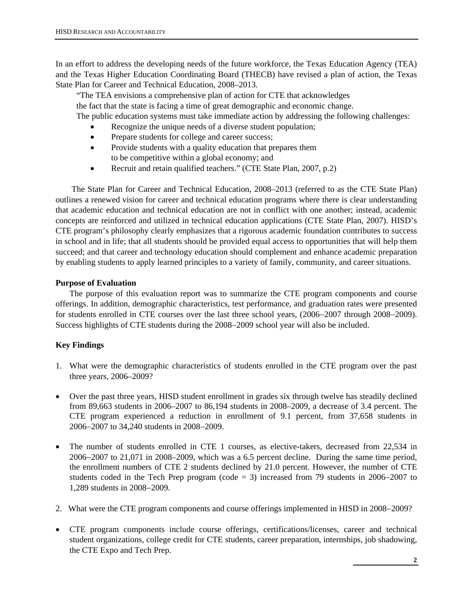In an effort to address the developing needs of the future workforce, the Texas Education Agency (TEA) and the Texas Higher Education Coordinating Board (THECB) have revised a plan of action, the Texas State Plan for Career and Technical Education, 2008–2013.

 "The TEA envisions a comprehensive plan of action for CTE that acknowledges the fact that the state is facing a time of great demographic and economic change. The public education systems must take immediate action by addressing the following challenges:

- Recognize the unique needs of a diverse student population;
- Prepare students for college and career success;
- Provide students with a quality education that prepares them to be competitive within a global economy; and
- Recruit and retain qualified teachers." (CTE State Plan, 2007, p.2)

 The State Plan for Career and Technical Education, 2008–2013 (referred to as the CTE State Plan) outlines a renewed vision for career and technical education programs where there is clear understanding that academic education and technical education are not in conflict with one another; instead, academic concepts are reinforced and utilized in technical education applications (CTE State Plan, 2007). HISD's CTE program's philosophy clearly emphasizes that a rigorous academic foundation contributes to success in school and in life; that all students should be provided equal access to opportunities that will help them succeed; and that career and technology education should complement and enhance academic preparation by enabling students to apply learned principles to a variety of family, community, and career situations.

### **Purpose of Evaluation**

The purpose of this evaluation report was to summarize the CTE program components and course offerings. In addition, demographic characteristics, test performance, and graduation rates were presented for students enrolled in CTE courses over the last three school years, (2006−2007 through 2008−2009). Success highlights of CTE students during the 2008−2009 school year will also be included.

### **Key Findings**

- 1. What were the demographic characteristics of students enrolled in the CTE program over the past three years, 2006–2009?
- Over the past three years, HISD student enrollment in grades six through twelve has steadily declined from 89,663 students in 2006–2007 to 86,194 students in 2008–2009, a decrease of 3.4 percent. The CTE program experienced a reduction in enrollment of 9.1 percent, from 37,658 students in 2006−2007 to 34,240 students in 2008−2009.
- The number of students enrolled in CTE 1 courses, as elective-takers, decreased from 22,534 in 2006−2007 to 21,071 in 2008–2009, which was a 6.5 percent decline. During the same time period, the enrollment numbers of CTE 2 students declined by 21.0 percent. However, the number of CTE students coded in the Tech Prep program (code = 3) increased from 79 students in 2006−2007 to 1,289 students in 2008−2009.
- 2. What were the CTE program components and course offerings implemented in HISD in 2008−2009?
- CTE program components include course offerings, certifications/licenses, career and technical student organizations, college credit for CTE students, career preparation, internships, job shadowing, the CTE Expo and Tech Prep.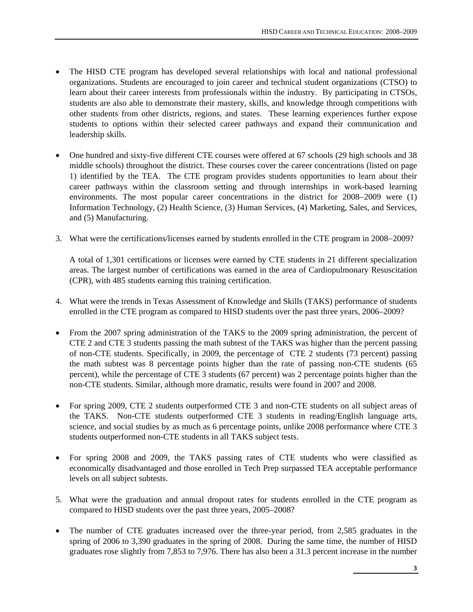- The HISD CTE program has developed several relationships with local and national professional organizations. Students are encouraged to join career and technical student organizations (CTSO) to learn about their career interests from professionals within the industry. By participating in CTSOs, students are also able to demonstrate their mastery, skills, and knowledge through competitions with other students from other districts, regions, and states. These learning experiences further expose students to options within their selected career pathways and expand their communication and leadership skills.
- One hundred and sixty-five different CTE courses were offered at 67 schools (29 high schools and 38 middle schools) throughout the district. These courses cover the career concentrations (listed on page 1) identified by the TEA. The CTE program provides students opportunities to learn about their career pathways within the classroom setting and through internships in work-based learning environments. The most popular career concentrations in the district for 2008–2009 were (1) Information Technology, (2) Health Science, (3) Human Services, (4) Marketing, Sales, and Services, and (5) Manufacturing.
- 3. What were the certifications/licenses earned by students enrolled in the CTE program in 2008−2009?

A total of 1,301 certifications or licenses were earned by CTE students in 21 different specialization areas. The largest number of certifications was earned in the area of Cardiopulmonary Resuscitation (CPR), with 485 students earning this training certification.

- 4. What were the trends in Texas Assessment of Knowledge and Skills (TAKS) performance of students enrolled in the CTE program as compared to HISD students over the past three years, 2006–2009?
- From the 2007 spring administration of the TAKS to the 2009 spring administration, the percent of CTE 2 and CTE 3 students passing the math subtest of the TAKS was higher than the percent passing of non-CTE students. Specifically, in 2009, the percentage of CTE 2 students (73 percent) passing the math subtest was 8 percentage points higher than the rate of passing non-CTE students (65 percent), while the percentage of CTE 3 students (67 percent) was 2 percentage points higher than the non-CTE students. Similar, although more dramatic, results were found in 2007 and 2008.
- For spring 2009, CTE 2 students outperformed CTE 3 and non-CTE students on all subject areas of the TAKS. Non-CTE students outperformed CTE 3 students in reading/English language arts, science, and social studies by as much as 6 percentage points, unlike 2008 performance where CTE 3 students outperformed non-CTE students in all TAKS subject tests.
- For spring 2008 and 2009, the TAKS passing rates of CTE students who were classified as economically disadvantaged and those enrolled in Tech Prep surpassed TEA acceptable performance levels on all subject subtests.
- 5. What were the graduation and annual dropout rates for students enrolled in the CTE program as compared to HISD students over the past three years, 2005–2008?
- The number of CTE graduates increased over the three-year period, from 2,585 graduates in the spring of 2006 to 3,390 graduates in the spring of 2008. During the same time, the number of HISD graduates rose slightly from 7,853 to 7,976. There has also been a 31.3 percent increase in the number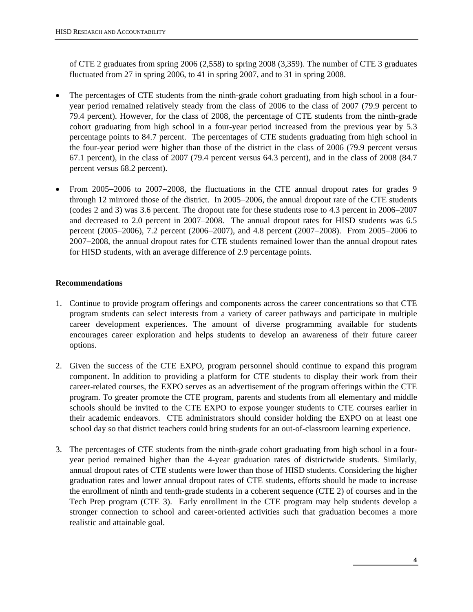of CTE 2 graduates from spring 2006 (2,558) to spring 2008 (3,359). The number of CTE 3 graduates fluctuated from 27 in spring 2006, to 41 in spring 2007, and to 31 in spring 2008.

- The percentages of CTE students from the ninth-grade cohort graduating from high school in a fouryear period remained relatively steady from the class of 2006 to the class of 2007 (79.9 percent to 79.4 percent). However, for the class of 2008, the percentage of CTE students from the ninth-grade cohort graduating from high school in a four-year period increased from the previous year by 5.3 percentage points to 84.7 percent. The percentages of CTE students graduating from high school in the four-year period were higher than those of the district in the class of 2006 (79.9 percent versus 67.1 percent), in the class of 2007 (79.4 percent versus 64.3 percent), and in the class of 2008 (84.7 percent versus 68.2 percent).
- From 2005−2006 to 2007−2008, the fluctuations in the CTE annual dropout rates for grades 9 through 12 mirrored those of the district. In 2005−2006, the annual dropout rate of the CTE students (codes 2 and 3) was 3.6 percent. The dropout rate for these students rose to 4.3 percent in 2006−2007 and decreased to 2.0 percent in 2007−2008. The annual dropout rates for HISD students was 6.5 percent (2005−2006), 7.2 percent (2006−2007), and 4.8 percent (2007−2008). From 2005−2006 to 2007−2008, the annual dropout rates for CTE students remained lower than the annual dropout rates for HISD students, with an average difference of 2.9 percentage points.

# **Recommendations**

- 1. Continue to provide program offerings and components across the career concentrations so that CTE program students can select interests from a variety of career pathways and participate in multiple career development experiences. The amount of diverse programming available for students encourages career exploration and helps students to develop an awareness of their future career options.
- 2. Given the success of the CTE EXPO, program personnel should continue to expand this program component. In addition to providing a platform for CTE students to display their work from their career-related courses, the EXPO serves as an advertisement of the program offerings within the CTE program. To greater promote the CTE program, parents and students from all elementary and middle schools should be invited to the CTE EXPO to expose younger students to CTE courses earlier in their academic endeavors. CTE administrators should consider holding the EXPO on at least one school day so that district teachers could bring students for an out-of-classroom learning experience.
- 3. The percentages of CTE students from the ninth-grade cohort graduating from high school in a fouryear period remained higher than the 4-year graduation rates of districtwide students. Similarly, annual dropout rates of CTE students were lower than those of HISD students. Considering the higher graduation rates and lower annual dropout rates of CTE students, efforts should be made to increase the enrollment of ninth and tenth-grade students in a coherent sequence (CTE 2) of courses and in the Tech Prep program (CTE 3). Early enrollment in the CTE program may help students develop a stronger connection to school and career-oriented activities such that graduation becomes a more realistic and attainable goal.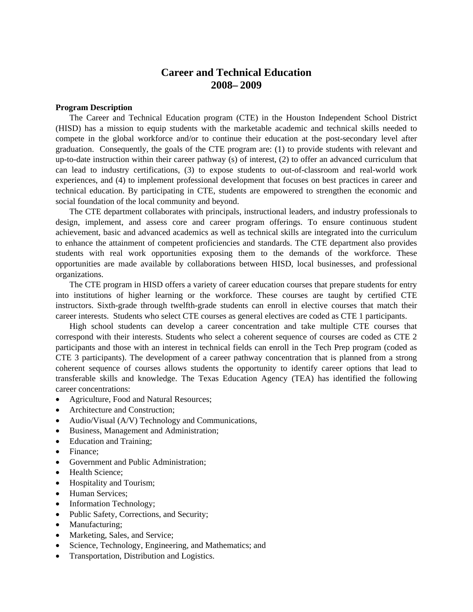# **Career and Technical Education 2008– 2009**

#### **Program Description**

The Career and Technical Education program (CTE) in the Houston Independent School District (HISD) has a mission to equip students with the marketable academic and technical skills needed to compete in the global workforce and/or to continue their education at the post-secondary level after graduation. Consequently, the goals of the CTE program are: (1) to provide students with relevant and up-to-date instruction within their career pathway (s) of interest, (2) to offer an advanced curriculum that can lead to industry certifications, (3) to expose students to out-of-classroom and real-world work experiences, and (4) to implement professional development that focuses on best practices in career and technical education. By participating in CTE, students are empowered to strengthen the economic and social foundation of the local community and beyond.

The CTE department collaborates with principals, instructional leaders, and industry professionals to design, implement, and assess core and career program offerings. To ensure continuous student achievement, basic and advanced academics as well as technical skills are integrated into the curriculum to enhance the attainment of competent proficiencies and standards. The CTE department also provides students with real work opportunities exposing them to the demands of the workforce. These opportunities are made available by collaborations between HISD, local businesses, and professional organizations.

The CTE program in HISD offers a variety of career education courses that prepare students for entry into institutions of higher learning or the workforce. These courses are taught by certified CTE instructors. Sixth-grade through twelfth-grade students can enroll in elective courses that match their career interests. Students who select CTE courses as general electives are coded as CTE 1 participants.

High school students can develop a career concentration and take multiple CTE courses that correspond with their interests. Students who select a coherent sequence of courses are coded as CTE 2 participants and those with an interest in technical fields can enroll in the Tech Prep program (coded as CTE 3 participants). The development of a career pathway concentration that is planned from a strong coherent sequence of courses allows students the opportunity to identify career options that lead to transferable skills and knowledge. The Texas Education Agency (TEA) has identified the following career concentrations:

- Agriculture, Food and Natural Resources;
- Architecture and Construction;
- Audio/Visual (A/V) Technology and Communications,
- Business, Management and Administration;
- Education and Training;
- Finance:
- Government and Public Administration;
- Health Science;
- Hospitality and Tourism;
- Human Services;
- Information Technology;
- Public Safety, Corrections, and Security;
- Manufacturing;
- Marketing, Sales, and Service;
- Science, Technology, Engineering, and Mathematics; and
- Transportation, Distribution and Logistics.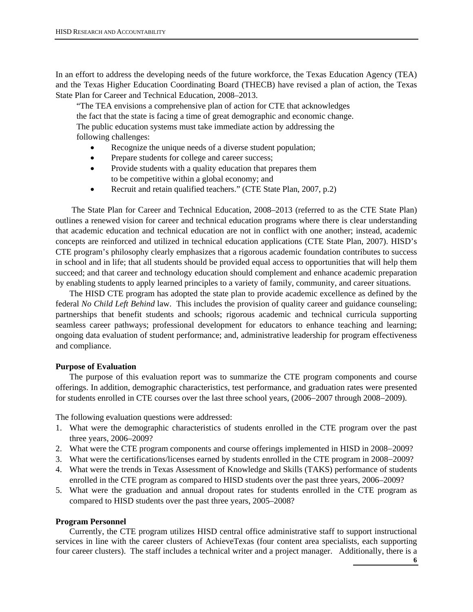In an effort to address the developing needs of the future workforce, the Texas Education Agency (TEA) and the Texas Higher Education Coordinating Board (THECB) have revised a plan of action, the Texas State Plan for Career and Technical Education, 2008–2013.

 "The TEA envisions a comprehensive plan of action for CTE that acknowledges the fact that the state is facing a time of great demographic and economic change. The public education systems must take immediate action by addressing the following challenges:

- Recognize the unique needs of a diverse student population;
- Prepare students for college and career success;
- Provide students with a quality education that prepares them to be competitive within a global economy; and
- Recruit and retain qualified teachers." (CTE State Plan, 2007, p.2)

 The State Plan for Career and Technical Education, 2008–2013 (referred to as the CTE State Plan) outlines a renewed vision for career and technical education programs where there is clear understanding that academic education and technical education are not in conflict with one another; instead, academic concepts are reinforced and utilized in technical education applications (CTE State Plan, 2007). HISD's CTE program's philosophy clearly emphasizes that a rigorous academic foundation contributes to success in school and in life; that all students should be provided equal access to opportunities that will help them succeed; and that career and technology education should complement and enhance academic preparation by enabling students to apply learned principles to a variety of family, community, and career situations.

The HISD CTE program has adopted the state plan to provide academic excellence as defined by the federal *No Child Left Behind* law. This includes the provision of quality career and guidance counseling; partnerships that benefit students and schools; rigorous academic and technical curricula supporting seamless career pathways; professional development for educators to enhance teaching and learning; ongoing data evaluation of student performance; and, administrative leadership for program effectiveness and compliance.

#### **Purpose of Evaluation**

The purpose of this evaluation report was to summarize the CTE program components and course offerings. In addition, demographic characteristics, test performance, and graduation rates were presented for students enrolled in CTE courses over the last three school years, (2006−2007 through 2008−2009).

The following evaluation questions were addressed:

- 1. What were the demographic characteristics of students enrolled in the CTE program over the past three years, 2006–2009?
- 2. What were the CTE program components and course offerings implemented in HISD in 2008−2009?
- 3. What were the certifications/licenses earned by students enrolled in the CTE program in 2008−2009?
- 4. What were the trends in Texas Assessment of Knowledge and Skills (TAKS) performance of students enrolled in the CTE program as compared to HISD students over the past three years, 2006–2009?
- 5. What were the graduation and annual dropout rates for students enrolled in the CTE program as compared to HISD students over the past three years, 2005–2008?

#### **Program Personnel**

Currently, the CTE program utilizes HISD central office administrative staff to support instructional services in line with the career clusters of AchieveTexas (four content area specialists, each supporting four career clusters). The staff includes a technical writer and a project manager. Additionally, there is a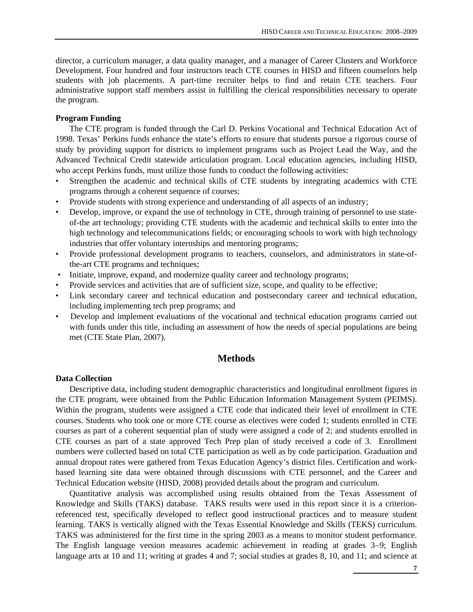director, a curriculum manager, a data quality manager, and a manager of Career Clusters and Workforce Development. Four hundred and four instructors teach CTE courses in HISD and fifteen counselors help students with job placements. A part-time recruiter helps to find and retain CTE teachers. Four administrative support staff members assist in fulfilling the clerical responsibilities necessary to operate the program.

#### **Program Funding**

The CTE program is funded through the Carl D. Perkins Vocational and Technical Education Act of 1998. Texas' Perkins funds enhance the state's efforts to ensure that students pursue a rigorous course of study by providing support for districts to implement programs such as Project Lead the Way, and the Advanced Technical Credit statewide articulation program. Local education agencies, including HISD, who accept Perkins funds, must utilize those funds to conduct the following activities:

- Strengthen the academic and technical skills of CTE students by integrating academics with CTE programs through a coherent sequence of courses;
- Provide students with strong experience and understanding of all aspects of an industry;
- Develop, improve, or expand the use of technology in CTE, through training of personnel to use stateof-the art technology; providing CTE students with the academic and technical skills to enter into the high technology and telecommunications fields; or encouraging schools to work with high technology industries that offer voluntary internships and mentoring programs;
- Provide professional development programs to teachers, counselors, and administrators in state-ofthe-art CTE programs and techniques;
- Initiate, improve, expand, and modernize quality career and technology programs;
- Provide services and activities that are of sufficient size, scope, and quality to be effective;
- Link secondary career and technical education and postsecondary career and technical education, including implementing tech prep programs; and
- Develop and implement evaluations of the vocational and technical education programs carried out with funds under this title, including an assessment of how the needs of special populations are being met (CTE State Plan, 2007).

# **Methods**

#### **Data Collection**

Descriptive data, including student demographic characteristics and longitudinal enrollment figures in the CTE program, were obtained from the Public Education Information Management System (PEIMS). Within the program, students were assigned a CTE code that indicated their level of enrollment in CTE courses. Students who took one or more CTE course as electives were coded 1; students enrolled in CTE courses as part of a coherent sequential plan of study were assigned a code of 2; and students enrolled in CTE courses as part of a state approved Tech Prep plan of study received a code of 3. Enrollment numbers were collected based on total CTE participation as well as by code participation. Graduation and annual dropout rates were gathered from Texas Education Agency's district files. Certification and workbased learning site data were obtained through discussions with CTE personnel, and the Career and Technical Education website (HISD, 2008) provided details about the program and curriculum.

Quantitative analysis was accomplished using results obtained from the Texas Assessment of Knowledge and Skills (TAKS) database. TAKS results were used in this report since it is a criterionreferenced test, specifically developed to reflect good instructional practices and to measure student learning. TAKS is vertically aligned with the Texas Essential Knowledge and Skills (TEKS) curriculum. TAKS was administered for the first time in the spring 2003 as a means to monitor student performance. The English language version measures academic achievement in reading at grades 3−9; English language arts at 10 and 11; writing at grades 4 and 7; social studies at grades 8, 10, and 11; and science at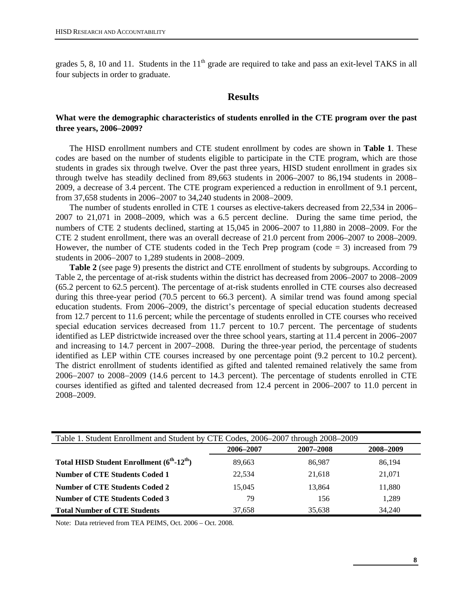grades 5, 8, 10 and 11. Students in the  $11<sup>th</sup>$  grade are required to take and pass an exit-level TAKS in all four subjects in order to graduate.

### **Results**

#### **What were the demographic characteristics of students enrolled in the CTE program over the past three years, 2006–2009?**

The HISD enrollment numbers and CTE student enrollment by codes are shown in **Table 1**. These codes are based on the number of students eligible to participate in the CTE program, which are those students in grades six through twelve. Over the past three years, HISD student enrollment in grades six through twelve has steadily declined from 89,663 students in 2006–2007 to 86,194 students in 2008– 2009, a decrease of 3.4 percent. The CTE program experienced a reduction in enrollment of 9.1 percent, from 37,658 students in 2006−2007 to 34,240 students in 2008−2009.

The number of students enrolled in CTE 1 courses as elective-takers decreased from 22,534 in 2006– 2007 to 21,071 in 2008–2009, which was a 6.5 percent decline. During the same time period, the numbers of CTE 2 students declined, starting at 15,045 in 2006–2007 to 11,880 in 2008−2009. For the CTE 2 student enrollment, there was an overall decrease of 21.0 percent from 2006–2007 to 2008–2009. However, the number of CTE students coded in the Tech Prep program (code  $=$  3) increased from 79 students in 2006−2007 to 1,289 students in 2008−2009.

**Table 2** (see page 9) presents the district and CTE enrollment of students by subgroups. According to Table 2, the percentage of at-risk students within the district has decreased from 2006–2007 to 2008–2009 (65.2 percent to 62.5 percent). The percentage of at-risk students enrolled in CTE courses also decreased during this three-year period (70.5 percent to 66.3 percent). A similar trend was found among special education students. From 2006–2009, the district's percentage of special education students decreased from 12.7 percent to 11.6 percent; while the percentage of students enrolled in CTE courses who received special education services decreased from 11.7 percent to 10.7 percent. The percentage of students identified as LEP districtwide increased over the three school years, starting at 11.4 percent in 2006–2007 and increasing to 14.7 percent in 2007–2008. During the three-year period, the percentage of students identified as LEP within CTE courses increased by one percentage point (9.2 percent to 10.2 percent). The district enrollment of students identified as gifted and talented remained relatively the same from 2006−2007 to 2008−2009 (14.6 percent to 14.3 percent). The percentage of students enrolled in CTE courses identified as gifted and talented decreased from 12.4 percent in 2006–2007 to 11.0 percent in 2008–2009.

| Table 1. Student Enrollment and Student by CTE Codes, 2006–2007 through 2008–2009 |           |           |           |  |  |  |  |  |  |  |
|-----------------------------------------------------------------------------------|-----------|-----------|-----------|--|--|--|--|--|--|--|
|                                                                                   | 2006–2007 | 2007-2008 | 2008-2009 |  |  |  |  |  |  |  |
| Total HISD Student Enrollment $(6^{th} - 12^{th})$                                | 89.663    | 86.987    | 86,194    |  |  |  |  |  |  |  |
| Number of CTE Students Coded 1                                                    | 22,534    | 21,618    | 21,071    |  |  |  |  |  |  |  |
| <b>Number of CTE Students Coded 2</b>                                             | 15,045    | 13,864    | 11,880    |  |  |  |  |  |  |  |
| <b>Number of CTE Students Coded 3</b>                                             | 79        | 156       | 1.289     |  |  |  |  |  |  |  |
| <b>Total Number of CTE Students</b>                                               | 37.658    | 35,638    | 34.240    |  |  |  |  |  |  |  |

Note: Data retrieved from TEA PEIMS, Oct. 2006 – Oct. 2008.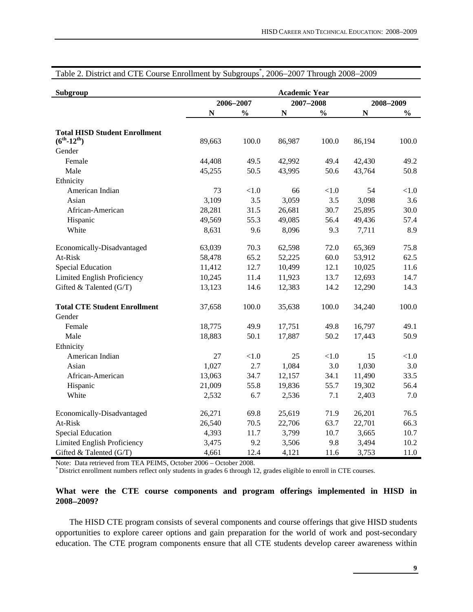| Subgroup                             |             |               | <b>Academic Year</b> |               |             |               |
|--------------------------------------|-------------|---------------|----------------------|---------------|-------------|---------------|
|                                      |             | 2006-2007     | 2007-2008            |               |             | 2008-2009     |
|                                      | $\mathbf N$ | $\frac{0}{0}$ | $\mathbb N$          | $\frac{0}{0}$ | $\mathbf N$ | $\frac{0}{0}$ |
| <b>Total HISD Student Enrollment</b> |             |               |                      |               |             |               |
| $(6^{th} - 12^{th})$                 | 89,663      | 100.0         | 86,987               | 100.0         | 86,194      | 100.0         |
| Gender                               |             |               |                      |               |             |               |
| Female                               | 44,408      | 49.5          | 42,992               | 49.4          | 42,430      | 49.2          |
| Male                                 | 45,255      | 50.5          | 43,995               | 50.6          | 43,764      | 50.8          |
| Ethnicity                            |             |               |                      |               |             |               |
| American Indian                      | 73          | < 1.0         | 66                   | $<1.0$        | 54          | < 1.0         |
| Asian                                | 3,109       | 3.5           | 3,059                | 3.5           | 3,098       | 3.6           |
| African-American                     | 28,281      | 31.5          | 26,681               | 30.7          | 25,895      | 30.0          |
| Hispanic                             | 49,569      | 55.3          | 49,085               | 56.4          | 49,436      | 57.4          |
| White                                | 8,631       | 9.6           | 8,096                | 9.3           | 7,711       | 8.9           |
| Economically-Disadvantaged           | 63,039      | 70.3          | 62,598               | 72.0          | 65,369      | 75.8          |
| At-Risk                              | 58,478      | 65.2          | 52,225               | 60.0          | 53,912      | 62.5          |
| <b>Special Education</b>             | 11,412      | 12.7          | 10,499               | 12.1          | 10,025      | 11.6          |
| Limited English Proficiency          | 10,245      | 11.4          | 11,923               | 13.7          | 12,693      | 14.7          |
| Gifted & Talented (G/T)              | 13,123      | 14.6          | 12,383               | 14.2          | 12,290      | 14.3          |
| <b>Total CTE Student Enrollment</b>  | 37,658      | 100.0         | 35,638               | 100.0         | 34,240      | 100.0         |
| Gender                               |             |               |                      |               |             |               |
| Female                               | 18,775      | 49.9          | 17,751               | 49.8          | 16,797      | 49.1          |
| Male                                 | 18,883      | 50.1          | 17,887               | 50.2          | 17,443      | 50.9          |
| Ethnicity                            |             |               |                      |               |             |               |
| American Indian                      | 27          | < 1.0         | 25                   | $<1.0$        | 15          | < 1.0         |
| Asian                                | 1,027       | 2.7           | 1,084                | 3.0           | 1,030       | 3.0           |
| African-American                     | 13,063      | 34.7          | 12,157               | 34.1          | 11,490      | 33.5          |
| Hispanic                             | 21,009      | 55.8          | 19,836               | 55.7          | 19,302      | 56.4          |
| White                                | 2,532       | 6.7           | 2,536                | 7.1           | 2,403       | 7.0           |
| Economically-Disadvantaged           | 26,271      | 69.8          | 25,619               | 71.9          | 26,201      | 76.5          |
| At-Risk                              | 26,540      | 70.5          | 22,706               | 63.7          | 22,701      | 66.3          |
| <b>Special Education</b>             | 4,393       | 11.7          | 3,799                | 10.7          | 3,665       | 10.7          |
| Limited English Proficiency          | 3,475       | 9.2           | 3,506                | 9.8           | 3,494       | 10.2          |
| Gifted & Talented (G/T)              | 4,661       | 12.4          | 4,121                | 11.6          | 3,753       | 11.0          |

# Table 2. District and CTE Course Enrollment by Subgroups\* , 2006−2007 Through 2008−2009

Note: Data retrieved from TEA PEIMS, October 2006 – October 2008.<br>\* District enrollment numbers reflect only students in grades 6 through 12, grades eligible to enroll in CTE courses.

#### **What were the CTE course components and program offerings implemented in HISD in 2008**−**2009?**

The HISD CTE program consists of several components and course offerings that give HISD students opportunities to explore career options and gain preparation for the world of work and post-secondary education. The CTE program components ensure that all CTE students develop career awareness within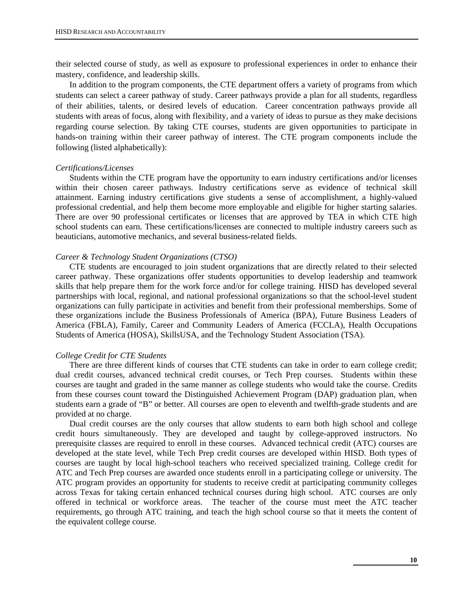their selected course of study, as well as exposure to professional experiences in order to enhance their mastery, confidence, and leadership skills.

In addition to the program components, the CTE department offers a variety of programs from which students can select a career pathway of study. Career pathways provide a plan for all students, regardless of their abilities, talents, or desired levels of education. Career concentration pathways provide all students with areas of focus, along with flexibility, and a variety of ideas to pursue as they make decisions regarding course selection. By taking CTE courses, students are given opportunities to participate in hands-on training within their career pathway of interest. The CTE program components include the following (listed alphabetically):

#### *Certifications/Licenses*

Students within the CTE program have the opportunity to earn industry certifications and/or licenses within their chosen career pathways. Industry certifications serve as evidence of technical skill attainment. Earning industry certifications give students a sense of accomplishment, a highly-valued professional credential, and help them become more employable and eligible for higher starting salaries. There are over 90 professional certificates or licenses that are approved by TEA in which CTE high school students can earn. These certifications/licenses are connected to multiple industry careers such as beauticians, automotive mechanics, and several business-related fields.

#### *Career & Technology Student Organizations (CTSO)*

CTE students are encouraged to join student organizations that are directly related to their selected career pathway. These organizations offer students opportunities to develop leadership and teamwork skills that help prepare them for the work force and/or for college training. HISD has developed several partnerships with local, regional, and national professional organizations so that the school-level student organizations can fully participate in activities and benefit from their professional memberships. Some of these organizations include the Business Professionals of America (BPA), Future Business Leaders of America (FBLA), Family, Career and Community Leaders of America (FCCLA), Health Occupations Students of America (HOSA), SkillsUSA, and the Technology Student Association (TSA).

#### *College Credit for CTE Students*

There are three different kinds of courses that CTE students can take in order to earn college credit; dual credit courses, advanced technical credit courses, or Tech Prep courses. Students within these courses are taught and graded in the same manner as college students who would take the course. Credits from these courses count toward the Distinguished Achievement Program (DAP) graduation plan, when students earn a grade of "B" or better. All courses are open to eleventh and twelfth-grade students and are provided at no charge.

Dual credit courses are the only courses that allow students to earn both high school and college credit hours simultaneously. They are developed and taught by college-approved instructors. No prerequisite classes are required to enroll in these courses. Advanced technical credit (ATC) courses are developed at the state level, while Tech Prep credit courses are developed within HISD. Both types of courses are taught by local high-school teachers who received specialized training. College credit for ATC and Tech Prep courses are awarded once students enroll in a participating college or university. The ATC program provides an opportunity for students to receive credit at participating community colleges across Texas for taking certain enhanced technical courses during high school. ATC courses are only offered in technical or workforce areas. The teacher of the course must meet the ATC teacher requirements, go through ATC training, and teach the high school course so that it meets the content of the equivalent college course.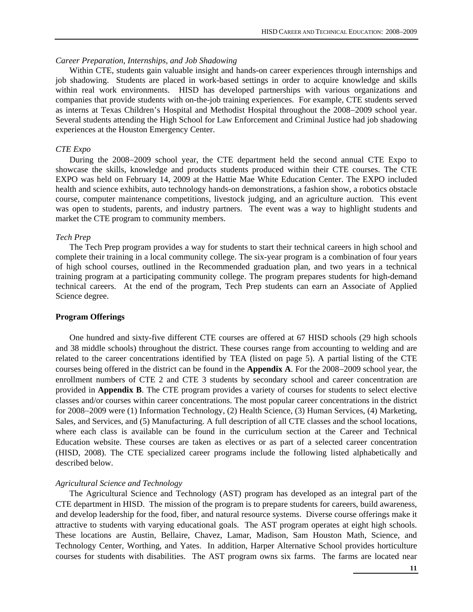#### *Career Preparation, Internships, and Job Shadowing*

Within CTE, students gain valuable insight and hands-on career experiences through internships and job shadowing. Students are placed in work-based settings in order to acquire knowledge and skills within real work environments. HISD has developed partnerships with various organizations and companies that provide students with on-the-job training experiences. For example, CTE students served as interns at Texas Children's Hospital and Methodist Hospital throughout the 2008−2009 school year. Several students attending the High School for Law Enforcement and Criminal Justice had job shadowing experiences at the Houston Emergency Center.

#### *CTE Expo*

During the 2008−2009 school year, the CTE department held the second annual CTE Expo to showcase the skills, knowledge and products students produced within their CTE courses. The CTE EXPO was held on February 14, 2009 at the Hattie Mae White Education Center. The EXPO included health and science exhibits, auto technology hands-on demonstrations, a fashion show, a robotics obstacle course, computer maintenance competitions, livestock judging, and an agriculture auction. This event was open to students, parents, and industry partners. The event was a way to highlight students and market the CTE program to community members.

#### *Tech Prep*

The Tech Prep program provides a way for students to start their technical careers in high school and complete their training in a local community college. The six-year program is a combination of four years of high school courses, outlined in the Recommended graduation plan, and two years in a technical training program at a participating community college. The program prepares students for high-demand technical careers. At the end of the program, Tech Prep students can earn an Associate of Applied Science degree.

#### **Program Offerings**

One hundred and sixty-five different CTE courses are offered at 67 HISD schools (29 high schools and 38 middle schools) throughout the district. These courses range from accounting to welding and are related to the career concentrations identified by TEA (listed on page 5). A partial listing of the CTE courses being offered in the district can be found in the **Appendix A**. For the 2008−2009 school year, the enrollment numbers of CTE 2 and CTE 3 students by secondary school and career concentration are provided in **Appendix B**. The CTE program provides a variety of courses for students to select elective classes and/or courses within career concentrations. The most popular career concentrations in the district for 2008−2009 were (1) Information Technology, (2) Health Science, (3) Human Services, (4) Marketing, Sales, and Services, and (5) Manufacturing. A full description of all CTE classes and the school locations, where each class is available can be found in the curriculum section at the Career and Technical Education website. These courses are taken as electives or as part of a selected career concentration (HISD, 2008). The CTE specialized career programs include the following listed alphabetically and described below.

#### *Agricultural Science and Technology*

The Agricultural Science and Technology (AST) program has developed as an integral part of the CTE department in HISD. The mission of the program is to prepare students for careers, build awareness, and develop leadership for the food, fiber, and natural resource systems. Diverse course offerings make it attractive to students with varying educational goals. The AST program operates at eight high schools. These locations are Austin, Bellaire, Chavez, Lamar, Madison, Sam Houston Math, Science, and Technology Center, Worthing, and Yates. In addition, Harper Alternative School provides horticulture courses for students with disabilities. The AST program owns six farms. The farms are located near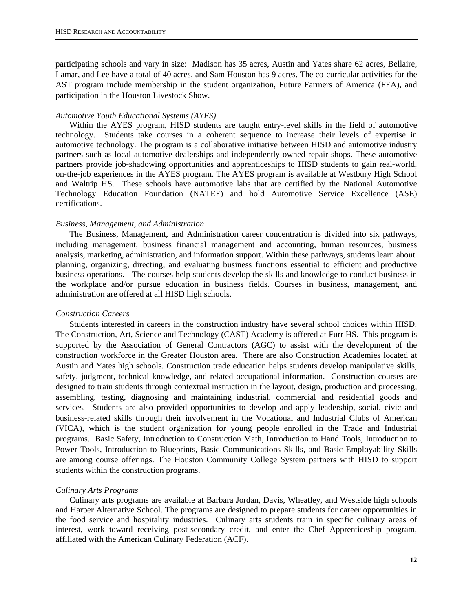participating schools and vary in size: Madison has 35 acres, Austin and Yates share 62 acres, Bellaire, Lamar, and Lee have a total of 40 acres, and Sam Houston has 9 acres. The co-curricular activities for the AST program include membership in the student organization, Future Farmers of America (FFA), and participation in the Houston Livestock Show.

#### *Automotive Youth Educational Systems (AYES)*

Within the AYES program, HISD students are taught entry-level skills in the field of automotive technology. Students take courses in a coherent sequence to increase their levels of expertise in automotive technology. The program is a collaborative initiative between HISD and automotive industry partners such as local automotive dealerships and independently-owned repair shops. These automotive partners provide job-shadowing opportunities and apprenticeships to HISD students to gain real-world, on-the-job experiences in the AYES program. The AYES program is available at Westbury High School and Waltrip HS. These schools have automotive labs that are certified by the National Automotive Technology Education Foundation (NATEF) and hold Automotive Service Excellence (ASE) certifications.

#### *Business, Management, and Administration*

The Business, Management, and Administration career concentration is divided into six pathways, including management, business financial management and accounting, human resources, business analysis, marketing, administration, and information support. Within these pathways, students learn about planning, organizing, directing, and evaluating business functions essential to efficient and productive business operations. The courses help students develop the skills and knowledge to conduct business in the workplace and/or pursue education in business fields. Courses in business, management, and administration are offered at all HISD high schools.

#### *Construction Careers*

Students interested in careers in the construction industry have several school choices within HISD. The Construction, Art, Science and Technology (CAST) Academy is offered at Furr HS. This program is supported by the Association of General Contractors (AGC) to assist with the development of the construction workforce in the Greater Houston area. There are also Construction Academies located at Austin and Yates high schools. Construction trade education helps students develop manipulative skills, safety, judgment, technical knowledge, and related occupational information. Construction courses are designed to train students through contextual instruction in the layout, design, production and processing, assembling, testing, diagnosing and maintaining industrial, commercial and residential goods and services. Students are also provided opportunities to develop and apply leadership, social, civic and business-related skills through their involvement in the Vocational and Industrial Clubs of American (VICA), which is the student organization for young people enrolled in the Trade and Industrial programs. Basic Safety, Introduction to Construction Math, Introduction to Hand Tools, Introduction to Power Tools, Introduction to Blueprints, Basic Communications Skills, and Basic Employability Skills are among course offerings. The Houston Community College System partners with HISD to support students within the construction programs.

#### *Culinary Arts Programs*

Culinary arts programs are available at Barbara Jordan, Davis, Wheatley, and Westside high schools and Harper Alternative School. The programs are designed to prepare students for career opportunities in the food service and hospitality industries. Culinary arts students train in specific culinary areas of interest, work toward receiving post-secondary credit, and enter the Chef Apprenticeship program, affiliated with the American Culinary Federation (ACF).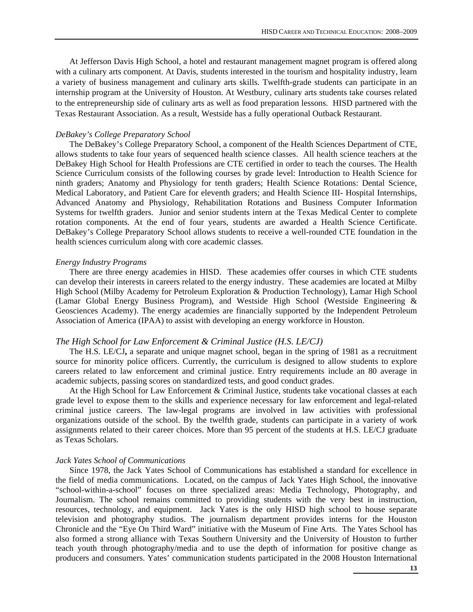At Jefferson Davis High School, a hotel and restaurant management magnet program is offered along with a culinary arts component. At Davis, students interested in the tourism and hospitality industry, learn a variety of business management and culinary arts skills. Twelfth-grade students can participate in an internship program at the University of Houston. At Westbury, culinary arts students take courses related to the entrepreneurship side of culinary arts as well as food preparation lessons. HISD partnered with the Texas Restaurant Association. As a result, Westside has a fully operational Outback Restaurant.

#### *DeBakey's College Preparatory School*

The DeBakey's College Preparatory School, a component of the Health Sciences Department of CTE, allows students to take four years of sequenced health science classes. All health science teachers at the DeBakey High School for Health Professions are CTE certified in order to teach the courses. The Health Science Curriculum consists of the following courses by grade level: Introduction to Health Science for ninth graders; Anatomy and Physiology for tenth graders; Health Science Rotations: Dental Science, Medical Laboratory, and Patient Care for eleventh graders; and Health Science III- Hospital Internships, Advanced Anatomy and Physiology, Rehabilitation Rotations and Business Computer Information Systems for twelfth graders. Junior and senior students intern at the Texas Medical Center to complete rotation components. At the end of four years, students are awarded a Health Science Certificate. DeBakey's College Preparatory School allows students to receive a well-rounded CTE foundation in the health sciences curriculum along with core academic classes.

#### *Energy Industry Programs*

There are three energy academies in HISD. These academies offer courses in which CTE students can develop their interests in careers related to the energy industry. These academies are located at Milby High School (Milby Academy for Petroleum Exploration & Production Technology), Lamar High School (Lamar Global Energy Business Program), and Westside High School (Westside Engineering & Geosciences Academy). The energy academies are financially supported by the Independent Petroleum Association of America (IPAA) to assist with developing an energy workforce in Houston.

#### *The High School for Law Enforcement & Criminal Justice (H.S. LE/CJ)*

The H.S. LE/CJ**,** a separate and unique magnet school, began in the spring of 1981 as a recruitment source for minority police officers. Currently, the curriculum is designed to allow students to explore careers related to law enforcement and criminal justice. Entry requirements include an 80 average in academic subjects, passing scores on standardized tests, and good conduct grades.

At the High School for Law Enforcement & Criminal Justice, students take vocational classes at each grade level to expose them to the skills and experience necessary for law enforcement and legal-related criminal justice careers. The law-legal programs are involved in law activities with professional organizations outside of the school. By the twelfth grade, students can participate in a variety of work assignments related to their career choices. More than 95 percent of the students at H.S. LE/CJ graduate as Texas Scholars.

#### *Jack Yates School of Communications*

Since 1978, the Jack Yates School of Communications has established a standard for excellence in the field of media communications. Located, on the campus of Jack Yates High School, the innovative "school-within-a-school" focuses on three specialized areas: Media Technology, Photography, and Journalism. The school remains committed to providing students with the very best in instruction, resources, technology, and equipment. Jack Yates is the only HISD high school to house separate television and photography studios. The journalism department provides interns for the Houston Chronicle and the "Eye On Third Ward" initiative with the Museum of Fine Arts. The Yates School has also formed a strong alliance with Texas Southern University and the University of Houston to further teach youth through photography/media and to use the depth of information for positive change as producers and consumers. Yates' communication students participated in the 2008 Houston International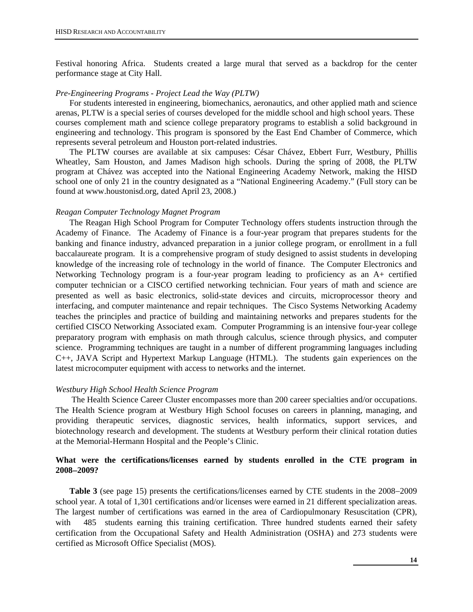Festival honoring Africa. Students created a large mural that served as a backdrop for the center performance stage at City Hall.

#### *Pre-Engineering Programs - Project Lead the Way (PLTW)*

For students interested in engineering, biomechanics, aeronautics, and other applied math and science arenas, PLTW is a special series of courses developed for the middle school and high school years. These courses complement math and science college preparatory programs to establish a solid background in engineering and technology. This program is sponsored by the East End Chamber of Commerce, which represents several petroleum and Houston port-related industries.

The PLTW courses are available at six campuses: César Chávez, Ebbert Furr, Westbury, Phillis Wheatley, Sam Houston, and James Madison high schools. During the spring of 2008, the PLTW program at Chávez was accepted into the National Engineering Academy Network, making the HISD school one of only 21 in the country designated as a "National Engineering Academy." (Full story can be found at www.houstonisd.org, dated April 23, 2008.)

#### *Reagan Computer Technology Magnet Program*

The Reagan High School Program for Computer Technology offers students instruction through the Academy of Finance. The Academy of Finance is a four-year program that prepares students for the banking and finance industry, advanced preparation in a junior college program, or enrollment in a full baccalaureate program. It is a comprehensive program of study designed to assist students in developing knowledge of the increasing role of technology in the world of finance. The Computer Electronics and Networking Technology program is a four-year program leading to proficiency as an A+ certified computer technician or a CISCO certified networking technician. Four years of math and science are presented as well as basic electronics, solid-state devices and circuits, microprocessor theory and interfacing, and computer maintenance and repair techniques. The Cisco Systems Networking Academy teaches the principles and practice of building and maintaining networks and prepares students for the certified CISCO Networking Associated exam. Computer Programming is an intensive four-year college preparatory program with emphasis on math through calculus, science through physics, and computer science. Programming techniques are taught in a number of different programming languages including C++, JAVA Script and Hypertext Markup Language (HTML). The students gain experiences on the latest microcomputer equipment with access to networks and the internet.

#### *Westbury High School Health Science Program*

 The Health Science Career Cluster encompasses more than 200 career specialties and/or occupations. The Health Science program at Westbury High School focuses on careers in planning, managing, and providing therapeutic services, diagnostic services, health informatics, support services, and biotechnology research and development. The students at Westbury perform their clinical rotation duties at the Memorial-Hermann Hospital and the People's Clinic.

# **What were the certifications/licenses earned by students enrolled in the CTE program in 2008**−**2009?**

**Table 3** (see page 15) presents the certifications/licenses earned by CTE students in the 2008−2009 school year. A total of 1,301 certifications and/or licenses were earned in 21 different specialization areas. The largest number of certifications was earned in the area of Cardiopulmonary Resuscitation (CPR), with 485 students earning this training certification. Three hundred students earned their safety certification from the Occupational Safety and Health Administration (OSHA) and 273 students were certified as Microsoft Office Specialist (MOS).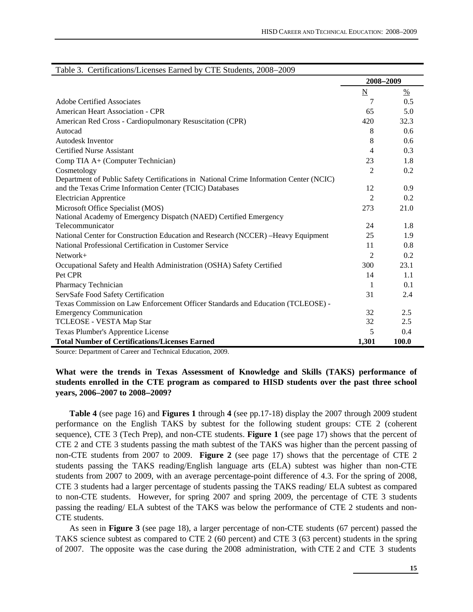| Table 5. Certifications/Licenses Earned by CTE Students, 2008–2009                     |                 |               |
|----------------------------------------------------------------------------------------|-----------------|---------------|
|                                                                                        | 2008-2009       |               |
|                                                                                        | $\underline{N}$ | $\frac{0}{0}$ |
| Adobe Certified Associates                                                             | 7               | 0.5           |
| American Heart Association - CPR                                                       | 65              | 5.0           |
| American Red Cross - Cardiopulmonary Resuscitation (CPR)                               | 420             | 32.3          |
| Autocad                                                                                | 8               | 0.6           |
| Autodesk Inventor                                                                      | 8               | 0.6           |
| <b>Certified Nurse Assistant</b>                                                       | 4               | 0.3           |
| Comp TIA A+ (Computer Technician)                                                      | 23              | 1.8           |
| Cosmetology                                                                            | $\overline{c}$  | 0.2           |
| Department of Public Safety Certifications in National Crime Information Center (NCIC) |                 |               |
| and the Texas Crime Information Center (TCIC) Databases                                | 12              | 0.9           |
| <b>Electrician Apprentice</b>                                                          | $\overline{2}$  | 0.2           |
| Microsoft Office Specialist (MOS)                                                      | 273             | 21.0          |
| National Academy of Emergency Dispatch (NAED) Certified Emergency                      |                 |               |
| Telecommunicator                                                                       | 24              | 1.8           |
| National Center for Construction Education and Research (NCCER) -Heavy Equipment       | 25              | 1.9           |
| National Professional Certification in Customer Service                                | 11              | 0.8           |
| $Network+$                                                                             | $\overline{2}$  | 0.2           |
| Occupational Safety and Health Administration (OSHA) Safety Certified                  | 300             | 23.1          |
| Pet CPR                                                                                | 14              | 1.1           |
| Pharmacy Technician                                                                    | 1               | 0.1           |
| ServSafe Food Safety Certification                                                     | 31              | 2.4           |
| Texas Commission on Law Enforcement Officer Standards and Education (TCLEOSE) -        |                 |               |
| <b>Emergency Communication</b>                                                         | 32              | 2.5           |
| TCLEOSE - VESTA Map Star                                                               | 32              | 2.5           |
| Texas Plumber's Apprentice License                                                     | 5               | 0.4           |
| <b>Total Number of Certifications/Licenses Earned</b>                                  | 1,301           | 100.0         |

| Table 3. Certifications/Licenses Earned by CTE Students, 2008–2009 |  |  |
|--------------------------------------------------------------------|--|--|

Source: Department of Career and Technical Education, 2009.

**What were the trends in Texas Assessment of Knowledge and Skills (TAKS) performance of students enrolled in the CTE program as compared to HISD students over the past three school years, 2006–2007 to 2008**−**2009?** 

**Table 4** (see page 16) and **Figures 1** through **4** (see pp.17-18) display the 2007 through 2009 student performance on the English TAKS by subtest for the following student groups: CTE 2 (coherent sequence), CTE 3 (Tech Prep), and non-CTE students. **Figure 1** (see page 17) shows that the percent of CTE 2 and CTE 3 students passing the math subtest of the TAKS was higher than the percent passing of non-CTE students from 2007 to 2009. **Figure 2** (see page 17) shows that the percentage of CTE 2 students passing the TAKS reading/English language arts (ELA) subtest was higher than non-CTE students from 2007 to 2009, with an average percentage-point difference of 4.3. For the spring of 2008, CTE 3 students had a larger percentage of students passing the TAKS reading/ ELA subtest as compared to non-CTE students. However, for spring 2007 and spring 2009, the percentage of CTE 3 students passing the reading/ ELA subtest of the TAKS was below the performance of CTE 2 students and non-CTE students.

As seen in **Figure 3** (see page 18), a larger percentage of non-CTE students (67 percent) passed the TAKS science subtest as compared to CTE 2 (60 percent) and CTE 3 (63 percent) students in the spring of 2007. The opposite was the case during the 2008 administration, with CTE 2 and CTE 3 students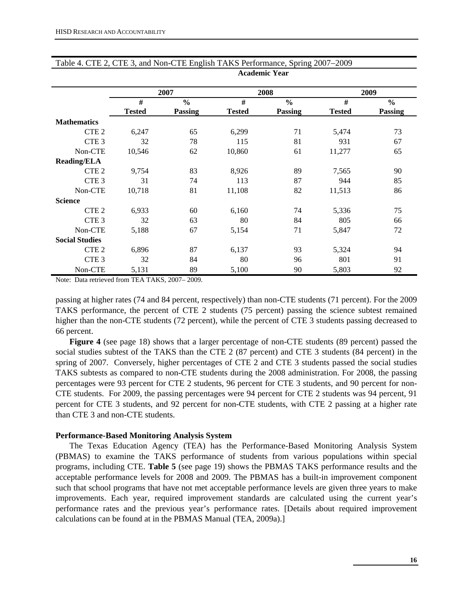|                       |               | 2007           |               | 2008           | 2009          |         |  |
|-----------------------|---------------|----------------|---------------|----------------|---------------|---------|--|
|                       | #             | $\frac{0}{0}$  | #             | $\frac{0}{0}$  | #             | $\%$    |  |
|                       | <b>Tested</b> | <b>Passing</b> | <b>Tested</b> | <b>Passing</b> | <b>Tested</b> | Passing |  |
| <b>Mathematics</b>    |               |                |               |                |               |         |  |
| CTE <sub>2</sub>      | 6,247         | 65             | 6,299         | 71             | 5,474         | 73      |  |
| CTE <sub>3</sub>      | 32            | 78             | 115           | 81             | 931           | 67      |  |
| Non-CTE               | 10,546        | 62             | 10,860        | 61             | 11,277        | 65      |  |
| <b>Reading/ELA</b>    |               |                |               |                |               |         |  |
| CTE <sub>2</sub>      | 9,754         | 83             | 8,926         | 89             | 7,565         | 90      |  |
| CTE <sub>3</sub>      | 31            | 74             | 113           | 87             | 944           | 85      |  |
| Non-CTE               | 10,718        | 81             | 11,108        | 82             | 11,513        | 86      |  |
| <b>Science</b>        |               |                |               |                |               |         |  |
| CTE <sub>2</sub>      | 6,933         | 60             | 6,160         | 74             | 5,336         | 75      |  |
| CTE <sub>3</sub>      | 32            | 63             | 80            | 84             | 805           | 66      |  |
| Non-CTE               | 5,188         | 67             | 5,154         | 71             | 5,847         | 72      |  |
| <b>Social Studies</b> |               |                |               |                |               |         |  |
| CTE <sub>2</sub>      | 6,896         | 87             | 6,137         | 93             | 5,324         | 94      |  |
| CTE <sub>3</sub>      | 32            | 84             | 80            | 96             | 801           | 91      |  |
| Non-CTE               | 5,131         | 89             | 5,100         | 90             | 5,803         | 92      |  |

#### Table 4. CTE 2, CTE 3, and Non-CTE English TAKS Performance, Spring 2007−2009 **Academic Year**

Note: Data retrieved from TEA TAKS, 2007– 2009.

passing at higher rates (74 and 84 percent, respectively) than non-CTE students (71 percent). For the 2009 TAKS performance, the percent of CTE 2 students (75 percent) passing the science subtest remained higher than the non-CTE students (72 percent), while the percent of CTE 3 students passing decreased to 66 percent.

**Figure 4** (see page 18) shows that a larger percentage of non-CTE students (89 percent) passed the social studies subtest of the TAKS than the CTE 2 (87 percent) and CTE 3 students (84 percent) in the spring of 2007. Conversely, higher percentages of CTE 2 and CTE 3 students passed the social studies TAKS subtests as compared to non-CTE students during the 2008 administration. For 2008, the passing percentages were 93 percent for CTE 2 students, 96 percent for CTE 3 students, and 90 percent for non-CTE students. For 2009, the passing percentages were 94 percent for CTE 2 students was 94 percent, 91 percent for CTE 3 students, and 92 percent for non-CTE students, with CTE 2 passing at a higher rate than CTE 3 and non-CTE students.

#### **Performance-Based Monitoring Analysis System**

The Texas Education Agency (TEA) has the Performance-Based Monitoring Analysis System (PBMAS) to examine the TAKS performance of students from various populations within special programs, including CTE. **Table 5** (see page 19) shows the PBMAS TAKS performance results and the acceptable performance levels for 2008 and 2009. The PBMAS has a built-in improvement component such that school programs that have not met acceptable performance levels are given three years to make improvements. Each year, required improvement standards are calculated using the current year's performance rates and the previous year's performance rates. [Details about required improvement calculations can be found at in the PBMAS Manual (TEA, 2009a).]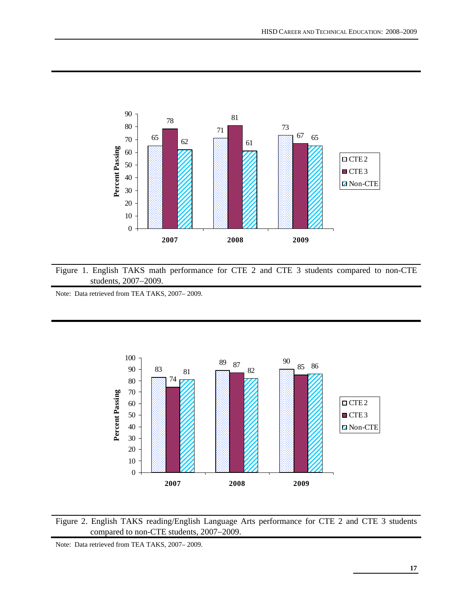

Figure 1. English TAKS math performance for CTE 2 and CTE 3 students compared to non-CTE students, 2007−2009.

Note: Data retrieved from TEA TAKS, 2007– 2009.



Figure 2. English TAKS reading/English Language Arts performance for CTE 2 and CTE 3 students compared to non-CTE students, 2007−2009.

Note: Data retrieved from TEA TAKS, 2007– 2009.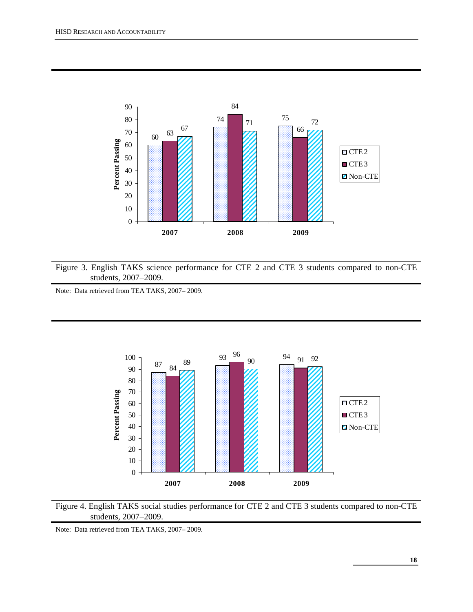

Figure 3. English TAKS science performance for CTE 2 and CTE 3 students compared to non-CTE students, 2007−2009.

Note: Data retrieved from TEA TAKS, 2007– 2009.





Note: Data retrieved from TEA TAKS, 2007– 2009.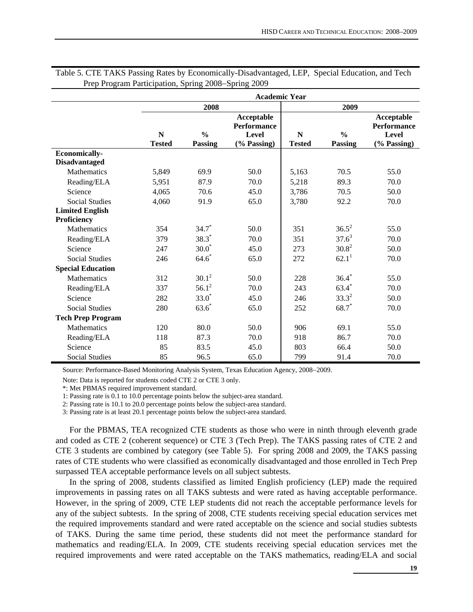|                          |                              |                          | <b>Academic Year</b>                                            |                    |                          |                                                          |
|--------------------------|------------------------------|--------------------------|-----------------------------------------------------------------|--------------------|--------------------------|----------------------------------------------------------|
|                          |                              | 2008                     |                                                                 |                    | 2009                     |                                                          |
|                          | $\mathbf N$<br><b>Tested</b> | $\frac{0}{0}$<br>Passing | Acceptable<br><b>Performance</b><br><b>Level</b><br>(% Passing) | N<br><b>Tested</b> | $\frac{0}{0}$<br>Passing | Acceptable<br><b>Performance</b><br>Level<br>(% Passing) |
| <b>Economically-</b>     |                              |                          |                                                                 |                    |                          |                                                          |
| <b>Disadvantaged</b>     |                              |                          |                                                                 |                    |                          |                                                          |
| <b>Mathematics</b>       | 5,849                        | 69.9                     | 50.0                                                            | 5,163              | 70.5                     | 55.0                                                     |
| Reading/ELA              | 5,951                        | 87.9                     | 70.0                                                            | 5,218              | 89.3                     | 70.0                                                     |
| Science                  | 4,065                        | 70.6                     | 45.0                                                            | 3,786              | 70.5                     | 50.0                                                     |
| <b>Social Studies</b>    | 4,060                        | 91.9                     | 65.0                                                            | 3,780              | 92.2                     | 70.0                                                     |
| <b>Limited English</b>   |                              |                          |                                                                 |                    |                          |                                                          |
| Proficiency              |                              |                          |                                                                 |                    |                          |                                                          |
| Mathematics              | 354                          | $34.7*$                  | 50.0                                                            | 351                | $36.5^2$                 | 55.0                                                     |
| Reading/ELA              | 379                          | $38.3*$                  | 70.0                                                            | 351                | $37.6^3$                 | 70.0                                                     |
| Science                  | 247                          | $30.0*$                  | 45.0                                                            | 273                | $30.8^2$                 | 50.0                                                     |
| <b>Social Studies</b>    | 246                          | $64.6*$                  | 65.0                                                            | 272                | 62.1 <sup>1</sup>        | 70.0                                                     |
| <b>Special Education</b> |                              |                          |                                                                 |                    |                          |                                                          |
| <b>Mathematics</b>       | 312                          | $30.1^2$                 | 50.0                                                            | 228                | $36.4*$                  | 55.0                                                     |
| Reading/ELA              | 337                          | $56.1^2$                 | 70.0                                                            | 243                | $63.4*$                  | 70.0                                                     |
| Science                  | 282                          | $33.0*$                  | 45.0                                                            | 246                | $33.3^{2}$               | 50.0                                                     |
| <b>Social Studies</b>    | 280                          | $63.6*$                  | 65.0                                                            | 252                | $68.7*$                  | 70.0                                                     |
| <b>Tech Prep Program</b> |                              |                          |                                                                 |                    |                          |                                                          |
| <b>Mathematics</b>       | 120                          | 80.0                     | 50.0                                                            | 906                | 69.1                     | 55.0                                                     |
| Reading/ELA              | 118                          | 87.3                     | 70.0                                                            | 918                | 86.7                     | 70.0                                                     |
| Science                  | 85                           | 83.5                     | 45.0                                                            | 803                | 66.4                     | 50.0                                                     |
| <b>Social Studies</b>    | 85                           | 96.5                     | 65.0                                                            | 799                | 91.4                     | 70.0                                                     |

Table 5. CTE TAKS Passing Rates by Economically-Disadvantaged, LEP, Special Education, and Tech Prep Program Participation, Spring 2008−Spring 2009

Source: Performance-Based Monitoring Analysis System, Texas Education Agency, 2008−2009.

Note: Data is reported for students coded CTE 2 or CTE 3 only.

\*: Met PBMAS required improvement standard.

1: Passing rate is 0.1 to 10.0 percentage points below the subject-area standard.

2: Passing rate is 10.1 to 20.0 percentage points below the subject-area standard.

3: Passing rate is at least 20.1 percentage points below the subject-area standard.

For the PBMAS, TEA recognized CTE students as those who were in ninth through eleventh grade and coded as CTE 2 (coherent sequence) or CTE 3 (Tech Prep). The TAKS passing rates of CTE 2 and CTE 3 students are combined by category (see Table 5). For spring 2008 and 2009, the TAKS passing rates of CTE students who were classified as economically disadvantaged and those enrolled in Tech Prep surpassed TEA acceptable performance levels on all subject subtests.

In the spring of 2008, students classified as limited English proficiency (LEP) made the required improvements in passing rates on all TAKS subtests and were rated as having acceptable performance. However, in the spring of 2009, CTE LEP students did not reach the acceptable performance levels for any of the subject subtests. In the spring of 2008, CTE students receiving special education services met the required improvements standard and were rated acceptable on the science and social studies subtests of TAKS. During the same time period, these students did not meet the performance standard for mathematics and reading/ELA. In 2009, CTE students receiving special education services met the required improvements and were rated acceptable on the TAKS mathematics, reading/ELA and social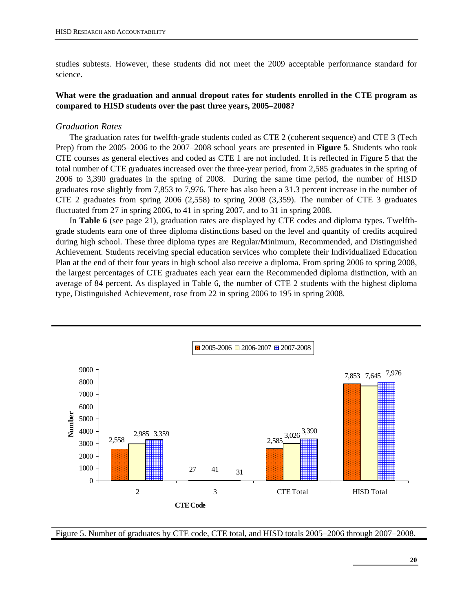studies subtests. However, these students did not meet the 2009 acceptable performance standard for science.

#### **What were the graduation and annual dropout rates for students enrolled in the CTE program as compared to HISD students over the past three years, 2005–2008?**

#### *Graduation Rates*

The graduation rates for twelfth-grade students coded as CTE 2 (coherent sequence) and CTE 3 (Tech Prep) from the 2005−2006 to the 2007−2008 school years are presented in **Figure 5**. Students who took CTE courses as general electives and coded as CTE 1 are not included. It is reflected in Figure 5 that the total number of CTE graduates increased over the three-year period, from 2,585 graduates in the spring of 2006 to 3,390 graduates in the spring of 2008. During the same time period, the number of HISD graduates rose slightly from 7,853 to 7,976. There has also been a 31.3 percent increase in the number of CTE 2 graduates from spring 2006 (2,558) to spring 2008 (3,359). The number of CTE 3 graduates fluctuated from 27 in spring 2006, to 41 in spring 2007, and to 31 in spring 2008.

In **Table 6** (see page 21), graduation rates are displayed by CTE codes and diploma types. Twelfthgrade students earn one of three diploma distinctions based on the level and quantity of credits acquired during high school. These three diploma types are Regular/Minimum, Recommended, and Distinguished Achievement. Students receiving special education services who complete their Individualized Education Plan at the end of their four years in high school also receive a diploma. From spring 2006 to spring 2008, the largest percentages of CTE graduates each year earn the Recommended diploma distinction, with an average of 84 percent. As displayed in Table 6, the number of CTE 2 students with the highest diploma type, Distinguished Achievement, rose from 22 in spring 2006 to 195 in spring 2008.



Figure 5. Number of graduates by CTE code, CTE total, and HISD totals 2005−2006 through 2007−2008.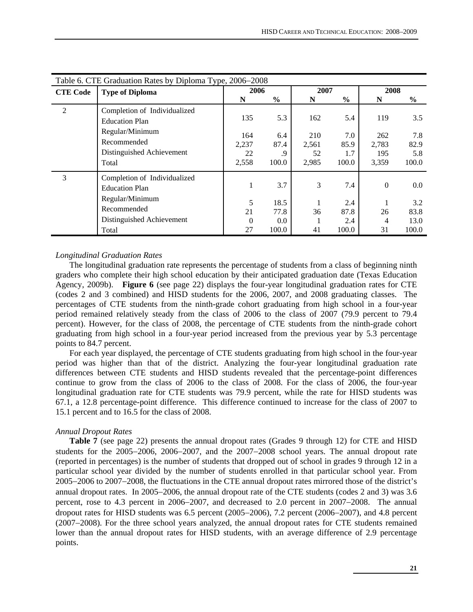|                 | Table 6. CTE Graduation Rates by Diploma Type, 2006–2008                                |                             |                            |                             |                             |                              |                             |  |  |  |  |
|-----------------|-----------------------------------------------------------------------------------------|-----------------------------|----------------------------|-----------------------------|-----------------------------|------------------------------|-----------------------------|--|--|--|--|
| <b>CTE Code</b> | <b>Type of Diploma</b>                                                                  | 2006                        |                            | 2007                        |                             | 2008                         |                             |  |  |  |  |
|                 |                                                                                         | N                           | $\frac{6}{9}$              | N                           | $\frac{6}{9}$               | N                            | $\%$                        |  |  |  |  |
| $\overline{2}$  | Completion of Individualized<br><b>Education Plan</b>                                   | 135                         | 5.3                        | 162                         | 5.4                         | 119                          | 3.5                         |  |  |  |  |
|                 | Regular/Minimum<br>Recommended<br>Distinguished Achievement<br>Total                    | 164<br>2,237<br>22<br>2,558 | 6.4<br>87.4<br>.9<br>100.0 | 210<br>2,561<br>52<br>2,985 | 7.0<br>85.9<br>1.7<br>100.0 | 262<br>2,783<br>195<br>3,359 | 7.8<br>82.9<br>5.8<br>100.0 |  |  |  |  |
| 3               | Completion of Individualized<br><b>Education Plan</b><br>Regular/Minimum<br>Recommended | 5<br>21                     | 3.7<br>18.5<br>77.8        | 3<br>36                     | 7.4<br>2.4<br>87.8          | $\Omega$<br>26               | $0.0\,$<br>3.2<br>83.8      |  |  |  |  |
|                 | Distinguished Achievement<br>Total                                                      | $\Omega$<br>27              | 0.0<br>100.0               | 41                          | 2.4<br>100.0                | 4<br>31                      | 13.0<br>100.0               |  |  |  |  |
|                 |                                                                                         |                             |                            |                             |                             |                              |                             |  |  |  |  |

#### *Longitudinal Graduation Rates*

The longitudinal graduation rate represents the percentage of students from a class of beginning ninth graders who complete their high school education by their anticipated graduation date (Texas Education Agency, 2009b). **Figure 6** (see page 22) displays the four-year longitudinal graduation rates for CTE (codes 2 and 3 combined) and HISD students for the 2006, 2007, and 2008 graduating classes. The percentages of CTE students from the ninth-grade cohort graduating from high school in a four-year period remained relatively steady from the class of 2006 to the class of 2007 (79.9 percent to 79.4 percent). However, for the class of 2008, the percentage of CTE students from the ninth-grade cohort graduating from high school in a four-year period increased from the previous year by 5.3 percentage points to 84.7 percent.

For each year displayed, the percentage of CTE students graduating from high school in the four-year period was higher than that of the district. Analyzing the four-year longitudinal graduation rate differences between CTE students and HISD students revealed that the percentage-point differences continue to grow from the class of 2006 to the class of 2008. For the class of 2006, the four-year longitudinal graduation rate for CTE students was 79.9 percent, while the rate for HISD students was 67.1, a 12.8 percentage-point difference. This difference continued to increase for the class of 2007 to 15.1 percent and to 16.5 for the class of 2008.

#### *Annual Dropout Rates*

**Table 7** (see page 22) presents the annual dropout rates (Grades 9 through 12) for CTE and HISD students for the 2005−2006, 2006−2007, and the 2007−2008 school years. The annual dropout rate (reported in percentages) is the number of students that dropped out of school in grades 9 through 12 in a particular school year divided by the number of students enrolled in that particular school year. From 2005−2006 to 2007−2008, the fluctuations in the CTE annual dropout rates mirrored those of the district's annual dropout rates. In 2005−2006, the annual dropout rate of the CTE students (codes 2 and 3) was 3.6 percent, rose to 4.3 percent in 2006−2007, and decreased to 2.0 percent in 2007−2008. The annual dropout rates for HISD students was 6.5 percent (2005−2006), 7.2 percent (2006−2007), and 4.8 percent (2007−2008). For the three school years analyzed, the annual dropout rates for CTE students remained lower than the annual dropout rates for HISD students, with an average difference of 2.9 percentage points.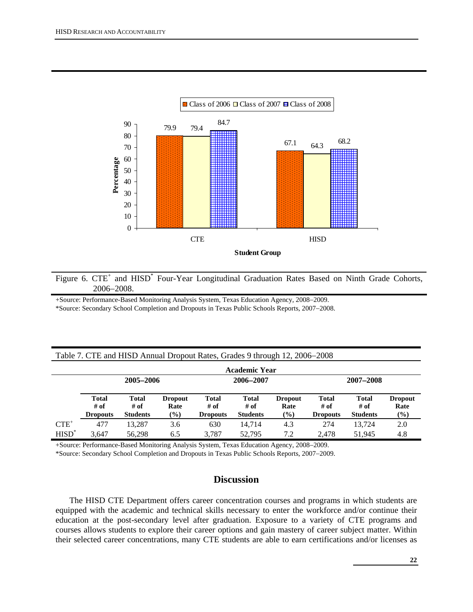

Figure 6. CTE<sup>+</sup> and HISD<sup>\*</sup> Four-Year Longitudinal Graduation Rates Based on Ninth Grade Cohorts, 2006−2008.

+Source: Performance-Based Monitoring Analysis System, Texas Education Agency, 2008−2009.

\*Source: Secondary School Completion and Dropouts in Texas Public Schools Reports, 2007−2008.

|          | Table 7. CTE and HISD Annual Dropout Rates, Grades 9 through 12, 2006–2008 |                                           |                                  |                                         |                                         |                                  |                                         |                                         |                                  |  |  |  |  |
|----------|----------------------------------------------------------------------------|-------------------------------------------|----------------------------------|-----------------------------------------|-----------------------------------------|----------------------------------|-----------------------------------------|-----------------------------------------|----------------------------------|--|--|--|--|
|          | <b>Academic Year</b>                                                       |                                           |                                  |                                         |                                         |                                  |                                         |                                         |                                  |  |  |  |  |
|          |                                                                            | 2005-2006                                 |                                  |                                         | 2006-2007                               |                                  |                                         | 2007-2008                               |                                  |  |  |  |  |
|          | <b>Total</b><br># of<br><b>Dropouts</b>                                    | <b>Total</b><br>$#$ of<br><b>Students</b> | <b>Dropout</b><br>Rate<br>$(\%)$ | <b>Total</b><br># of<br><b>Dropouts</b> | <b>Total</b><br># of<br><b>Students</b> | <b>Dropout</b><br>Rate<br>$(\%)$ | <b>Total</b><br># of<br><b>Dropouts</b> | <b>Total</b><br># of<br><b>Students</b> | <b>Dropout</b><br>Rate<br>$(\%)$ |  |  |  |  |
| $CTE^+$  | 477                                                                        | 13.287                                    | 3.6                              | 630                                     | 14.714                                  | 4.3                              | 274                                     | 13.724                                  | 2.0                              |  |  |  |  |
| $HISD^*$ | 3.647                                                                      | 56.298                                    | 6.5                              | 3.787                                   | 52,795                                  | 7.2                              | 2.478                                   | 51.945                                  | 4.8                              |  |  |  |  |

+Source: Performance-Based Monitoring Analysis System, Texas Education Agency, 2008−2009.

\*Source: Secondary School Completion and Dropouts in Texas Public Schools Reports, 2007−2009.

# **Discussion**

The HISD CTE Department offers career concentration courses and programs in which students are equipped with the academic and technical skills necessary to enter the workforce and/or continue their education at the post-secondary level after graduation. Exposure to a variety of CTE programs and courses allows students to explore their career options and gain mastery of career subject matter. Within their selected career concentrations, many CTE students are able to earn certifications and/or licenses as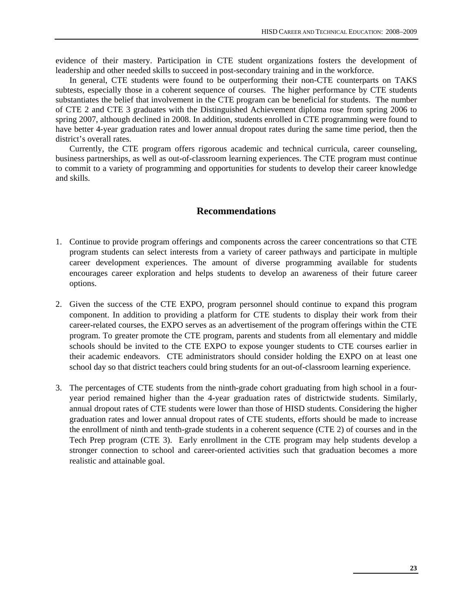evidence of their mastery. Participation in CTE student organizations fosters the development of leadership and other needed skills to succeed in post-secondary training and in the workforce.

In general, CTE students were found to be outperforming their non-CTE counterparts on TAKS subtests, especially those in a coherent sequence of courses. The higher performance by CTE students substantiates the belief that involvement in the CTE program can be beneficial for students. The number of CTE 2 and CTE 3 graduates with the Distinguished Achievement diploma rose from spring 2006 to spring 2007, although declined in 2008. In addition, students enrolled in CTE programming were found to have better 4-year graduation rates and lower annual dropout rates during the same time period, then the district's overall rates.

Currently, the CTE program offers rigorous academic and technical curricula, career counseling, business partnerships, as well as out-of-classroom learning experiences. The CTE program must continue to commit to a variety of programming and opportunities for students to develop their career knowledge and skills.

### **Recommendations**

- 1. Continue to provide program offerings and components across the career concentrations so that CTE program students can select interests from a variety of career pathways and participate in multiple career development experiences. The amount of diverse programming available for students encourages career exploration and helps students to develop an awareness of their future career options.
- 2. Given the success of the CTE EXPO, program personnel should continue to expand this program component. In addition to providing a platform for CTE students to display their work from their career-related courses, the EXPO serves as an advertisement of the program offerings within the CTE program. To greater promote the CTE program, parents and students from all elementary and middle schools should be invited to the CTE EXPO to expose younger students to CTE courses earlier in their academic endeavors. CTE administrators should consider holding the EXPO on at least one school day so that district teachers could bring students for an out-of-classroom learning experience.
- 3. The percentages of CTE students from the ninth-grade cohort graduating from high school in a fouryear period remained higher than the 4-year graduation rates of districtwide students. Similarly, annual dropout rates of CTE students were lower than those of HISD students. Considering the higher graduation rates and lower annual dropout rates of CTE students, efforts should be made to increase the enrollment of ninth and tenth-grade students in a coherent sequence (CTE 2) of courses and in the Tech Prep program (CTE 3). Early enrollment in the CTE program may help students develop a stronger connection to school and career-oriented activities such that graduation becomes a more realistic and attainable goal.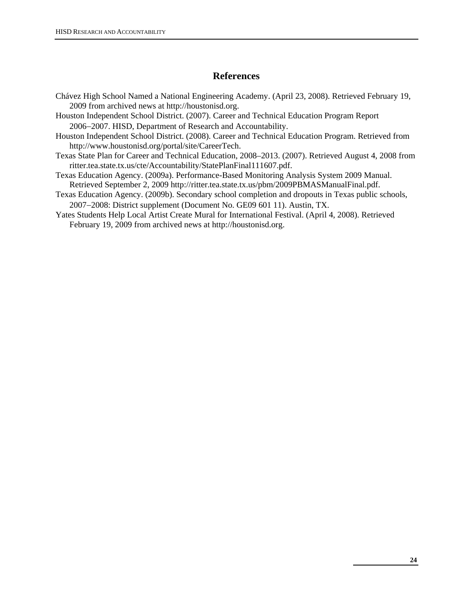# **References**

- Chávez High School Named a National Engineering Academy. (April 23, 2008). Retrieved February 19, 2009 from archived news at http://houstonisd.org.
- Houston Independent School District. (2007). Career and Technical Education Program Report 2006−2007. HISD, Department of Research and Accountability.
- Houston Independent School District. (2008). Career and Technical Education Program. Retrieved from http://www.houstonisd.org/portal/site/CareerTech.
- Texas State Plan for Career and Technical Education, 2008–2013. (2007). Retrieved August 4, 2008 from ritter.tea.state.tx.us/cte/Accountability/StatePlanFinal111607.pdf.
- Texas Education Agency. (2009a). Performance-Based Monitoring Analysis System 2009 Manual. Retrieved September 2, 2009 http://ritter.tea.state.tx.us/pbm/2009PBMASManualFinal.pdf.
- Texas Education Agency. (2009b). Secondary school completion and dropouts in Texas public schools, 2007−2008: District supplement (Document No. GE09 601 11). Austin, TX.
- Yates Students Help Local Artist Create Mural for International Festival. (April 4, 2008). Retrieved February 19, 2009 from archived news at http://houstonisd.org.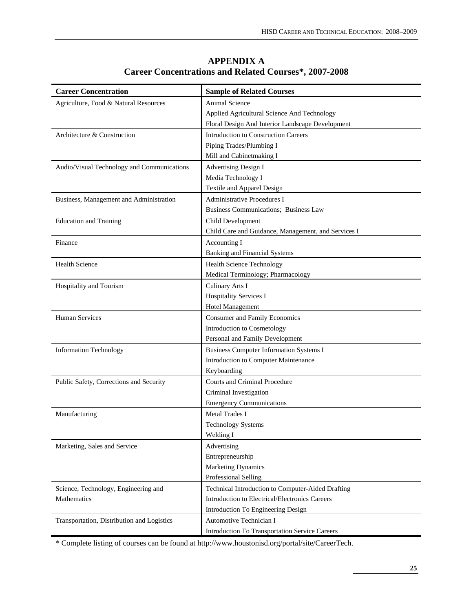| <b>Career Concentration</b>                | <b>Sample of Related Courses</b>                    |
|--------------------------------------------|-----------------------------------------------------|
| Agriculture, Food & Natural Resources      | Animal Science                                      |
|                                            | Applied Agricultural Science And Technology         |
|                                            | Floral Design And Interior Landscape Development    |
| Architecture & Construction                | Introduction to Construction Careers                |
|                                            | Piping Trades/Plumbing I                            |
|                                            | Mill and Cabinetmaking I                            |
| Audio/Visual Technology and Communications | <b>Advertising Design I</b>                         |
|                                            | Media Technology I                                  |
|                                            | Textile and Apparel Design                          |
| Business, Management and Administration    | Administrative Procedures I                         |
|                                            | Business Communications; Business Law               |
| <b>Education and Training</b>              | Child Development                                   |
|                                            | Child Care and Guidance, Management, and Services I |
| Finance                                    | Accounting I                                        |
|                                            | <b>Banking and Financial Systems</b>                |
| <b>Health Science</b>                      | <b>Health Science Technology</b>                    |
|                                            | Medical Terminology; Pharmacology                   |
| Hospitality and Tourism                    | Culinary Arts I                                     |
|                                            | <b>Hospitality Services I</b>                       |
|                                            | <b>Hotel Management</b>                             |
| <b>Human Services</b>                      | <b>Consumer and Family Economics</b>                |
|                                            | Introduction to Cosmetology                         |
|                                            | Personal and Family Development                     |
| <b>Information Technology</b>              | <b>Business Computer Information Systems I</b>      |
|                                            | Introduction to Computer Maintenance                |
|                                            | Keyboarding                                         |
| Public Safety, Corrections and Security    | Courts and Criminal Procedure                       |
|                                            | Criminal Investigation                              |
|                                            | <b>Emergency Communications</b>                     |
| Manufacturing                              | <b>Metal Trades I</b>                               |
|                                            | <b>Technology Systems</b>                           |
|                                            | Welding I                                           |
| Marketing, Sales and Service               | Advertising                                         |
|                                            | Entrepreneurship                                    |
|                                            | <b>Marketing Dynamics</b>                           |
|                                            | Professional Selling                                |
| Science, Technology, Engineering and       | Technical Introduction to Computer-Aided Drafting   |
| Mathematics                                | Introduction to Electrical/Electronics Careers      |
|                                            | Introduction To Engineering Design                  |
| Transportation, Distribution and Logistics | Automotive Technician I                             |
|                                            | Introduction To Transportation Service Careers      |

# **APPENDIX A Career Concentrations and Related Courses\*, 2007-2008**

\* Complete listing of courses can be found at http://www.houstonisd.org/portal/site/CareerTech.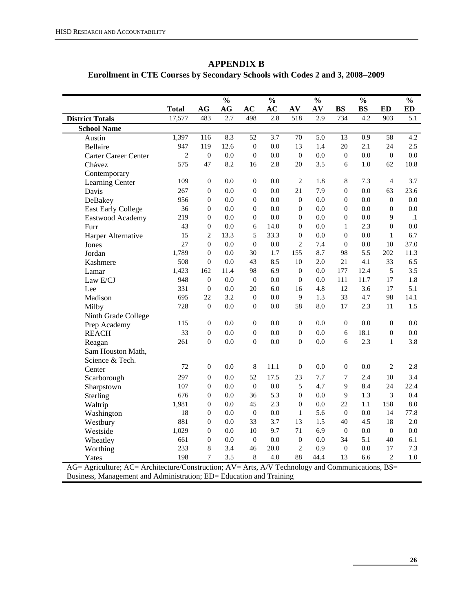# **APPENDIX B**

# **Enrollment in CTE Courses by Secondary Schools with Codes 2 and 3, 2008**−**2009**

|                             |                |                  | $\frac{0}{0}$          |                  | $\frac{0}{0}$    |                  | $\frac{0}{0}$          |                  | $\frac{0}{0}$ |                  | $\frac{0}{0}$    |
|-----------------------------|----------------|------------------|------------------------|------------------|------------------|------------------|------------------------|------------------|---------------|------------------|------------------|
|                             | <b>Total</b>   | AG               | $\mathbf{A}\mathbf{G}$ | AC               | AC               | AV               | $\mathbf{A}\mathbf{V}$ | <b>BS</b>        | $\mathbf{BS}$ | <b>ED</b>        | <b>ED</b>        |
| <b>District Totals</b>      | 17,577         | 483              | 2.7                    | 498              | 2.8              | 518              | 2.9                    | 734              | 4.2           | 903              | $\overline{5.1}$ |
| <b>School Name</b>          |                |                  |                        |                  |                  |                  |                        |                  |               |                  |                  |
| Austin                      | 1,397          | 116              | 8.3                    | $\overline{52}$  | $\overline{3.7}$ | $\overline{70}$  | $\overline{5.0}$       | $\overline{13}$  | 0.9           | $\overline{58}$  | $\overline{4.2}$ |
| <b>Bellaire</b>             | 947            | 119              | 12.6                   | $\boldsymbol{0}$ | 0.0              | 13               | 1.4                    | 20               | 2.1           | 24               | 2.5              |
| <b>Carter Career Center</b> | $\overline{c}$ | $\boldsymbol{0}$ | 0.0                    | $\boldsymbol{0}$ | 0.0              | $\boldsymbol{0}$ | 0.0                    | $\boldsymbol{0}$ | 0.0           | $\boldsymbol{0}$ | 0.0              |
| Chávez                      | 575            | 47               | 8.2                    | 16               | 2.8              | 20               | 3.5                    | 6                | 1.0           | 62               | 10.8             |
| Contemporary                |                |                  |                        |                  |                  |                  |                        |                  |               |                  |                  |
| Learning Center             | 109            | $\boldsymbol{0}$ | 0.0                    | $\boldsymbol{0}$ | 0.0              | $\overline{2}$   | 1.8                    | 8                | 7.3           | $\overline{4}$   | 3.7              |
| Davis                       | 267            | $\boldsymbol{0}$ | 0.0                    | $\boldsymbol{0}$ | 0.0              | 21               | 7.9                    | $\theta$         | 0.0           | 63               | 23.6             |
| DeBakey                     | 956            | $\boldsymbol{0}$ | 0.0                    | $\theta$         | 0.0              | $\overline{0}$   | 0.0                    | $\boldsymbol{0}$ | 0.0           | $\boldsymbol{0}$ | 0.0              |
| <b>East Early College</b>   | 36             | $\boldsymbol{0}$ | 0.0                    | $\theta$         | 0.0              | $\overline{0}$   | 0.0                    | $\mathbf{0}$     | 0.0           | $\boldsymbol{0}$ | 0.0              |
| Eastwood Academy            | 219            | $\boldsymbol{0}$ | 0.0                    | $\boldsymbol{0}$ | 0.0              | $\overline{0}$   | 0.0                    | $\theta$         | 0.0           | 9                | $\cdot$ 1        |
| Furr                        | 43             | $\theta$         | 0.0                    | 6                | 14.0             | $\overline{0}$   | 0.0                    | $\mathbf{1}$     | 2.3           | $\overline{0}$   | 0.0              |
| Harper Alternative          | 15             | $\overline{2}$   | 13.3                   | 5                | 33.3             | $\boldsymbol{0}$ | 0.0                    | $\boldsymbol{0}$ | 0.0           | $\mathbf{1}$     | 6.7              |
| Jones                       | 27             | $\boldsymbol{0}$ | 0.0                    | $\overline{0}$   | 0.0              | $\overline{2}$   | 7.4                    | $\overline{0}$   | 0.0           | 10               | 37.0             |
| Jordan                      | 1,789          | $\boldsymbol{0}$ | 0.0                    | 30               | 1.7              | 155              | 8.7                    | 98               | 5.5           | 202              | 11.3             |
| Kashmere                    | 508            | $\boldsymbol{0}$ | 0.0                    | 43               | 8.5              | 10               | 2.0                    | 21               | 4.1           | 33               | 6.5              |
| Lamar                       | 1,423          | 162              | 11.4                   | 98               | 6.9              | $\boldsymbol{0}$ | 0.0                    | 177              | 12.4          | 5                | 3.5              |
| Law E/CJ                    | 948            | $\boldsymbol{0}$ | 0.0                    | $\boldsymbol{0}$ | 0.0              | $\boldsymbol{0}$ | 0.0                    | 111              | 11.7          | 17               | 1.8              |
| Lee                         | 331            | $\mathbf{0}$     | 0.0                    | 20               | 6.0              | 16               | 4.8                    | 12               | 3.6           | 17               | 5.1              |
| Madison                     | 695            | 22               | 3.2                    | $\theta$         | 0.0              | 9                | 1.3                    | 33               | 4.7           | 98               | 14.1             |
| Milby                       | 728            | $\theta$         | 0.0                    | $\theta$         | 0.0              | 58               | 8.0                    | 17               | 2.3           | 11               | 1.5              |
| Ninth Grade College         |                |                  |                        |                  |                  |                  |                        |                  |               |                  |                  |
| Prep Academy                | 115            | $\boldsymbol{0}$ | 0.0                    | $\theta$         | 0.0              | $\overline{0}$   | 0.0                    | $\theta$         | 0.0           | $\theta$         | 0.0              |
| <b>REACH</b>                | 33             | $\theta$         | 0.0                    | $\overline{0}$   | 0.0              | $\boldsymbol{0}$ | 0.0                    | 6                | 18.1          | $\boldsymbol{0}$ | 0.0              |
| Reagan                      | 261            | $\boldsymbol{0}$ | 0.0                    | $\boldsymbol{0}$ | 0.0              | $\theta$         | 0.0                    | 6                | 2.3           | $\mathbf{1}$     | 3.8              |
| Sam Houston Math,           |                |                  |                        |                  |                  |                  |                        |                  |               |                  |                  |
| Science & Tech.             |                |                  |                        |                  |                  |                  |                        |                  |               |                  |                  |
| Center                      | 72             | $\boldsymbol{0}$ | 0.0                    | 8                | 11.1             | $\overline{0}$   | 0.0                    | $\theta$         | 0.0           | $\overline{c}$   | 2.8              |
| Scarborough                 | 297            | $\boldsymbol{0}$ | 0.0                    | 52               | 17.5             | 23               | 7.7                    | $\overline{7}$   | 2.4           | 10               | 3.4              |
| Sharpstown                  | 107            | $\boldsymbol{0}$ | 0.0                    | $\boldsymbol{0}$ | 0.0              | 5                | 4.7                    | 9                | 8.4           | 24               | 22.4             |
| Sterling                    | 676            | $\theta$         | 0.0                    | 36               | 5.3              | $\overline{0}$   | 0.0                    | $\overline{9}$   | 1.3           | 3                | 0.4              |
| Waltrip                     | 1,981          | $\boldsymbol{0}$ | 0.0                    | 45               | 2.3              | $\overline{0}$   | 0.0                    | 22               | 1.1           | 158              | 8.0              |
| Washington                  | 18             | $\boldsymbol{0}$ | 0.0                    | $\boldsymbol{0}$ | 0.0              | $\mathbf{1}$     | 5.6                    | $\mathbf{0}$     | 0.0           | 14               | 77.8             |
| Westbury                    | 881            | $\boldsymbol{0}$ | 0.0                    | 33               | 3.7              | 13               | 1.5                    | 40               | 4.5           | 18               | 2.0              |
| Westside                    | 1,029          | $\boldsymbol{0}$ | 0.0                    | 10               | 9.7              | 71               | 6.9                    | $\boldsymbol{0}$ | 0.0           | $\boldsymbol{0}$ | 0.0              |
| Wheatley                    | 661            | $\boldsymbol{0}$ | 0.0                    | $\boldsymbol{0}$ | 0.0              | $\boldsymbol{0}$ | 0.0                    | 34               | 5.1           | 40               | 6.1              |
| Worthing                    | 233            | $\,$ 8 $\,$      | 3.4                    | 46               | 20.0             | $\overline{2}$   | 0.9                    | $\boldsymbol{0}$ | 0.0           | 17               | 7.3              |
| Yates                       | 198            | $\overline{7}$   | 3.5                    | 8                | 4.0              | 88               | 44.4                   | 13               | 6.6           | $\mathbf{2}$     | $1.0\,$          |

AG= Agriculture; AC= Architecture/Construction; AV= Arts, A/V Technology and Communications, BS= Business, Management and Administration; ED= Education and Training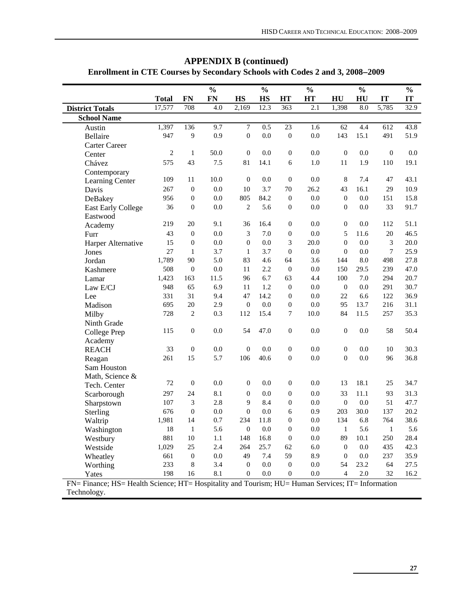|                                                                                                   |              |                  | $\frac{1}{2}$ |                  | $\frac{0}{0}$ |                  | $\frac{0}{0}$ |                  | $\frac{0}{0}$ |                  | $\frac{0}{0}$ |
|---------------------------------------------------------------------------------------------------|--------------|------------------|---------------|------------------|---------------|------------------|---------------|------------------|---------------|------------------|---------------|
|                                                                                                   | <b>Total</b> | FN               | <b>FN</b>     | <b>HS</b>        | <b>HS</b>     | HT               | HT            | HU               | HU            | IT               | IT            |
| <b>District Totals</b>                                                                            | 17,577       | 708              | 4.0           | 2,169            | 12.3          | 363              | 2.1           | 1,398            | 8.0           | 5,785            | 32.9          |
| <b>School Name</b>                                                                                |              |                  |               |                  |               |                  |               |                  |               |                  |               |
| Austin                                                                                            | 1,397        | 136              | 9.7           | $\overline{7}$   | 0.5           | 23               | 1.6           | 62               | 4.4           | 612              | 43.8          |
| Bellaire                                                                                          | 947          | 9                | 0.9           | $\boldsymbol{0}$ | 0.0           | $\boldsymbol{0}$ | 0.0           | 143              | 15.1          | 491              | 51.9          |
| Carter Career                                                                                     |              |                  |               |                  |               |                  |               |                  |               |                  |               |
| Center                                                                                            | $\mathbf{2}$ | $\,1$            | 50.0          | $\boldsymbol{0}$ | 0.0           | $\boldsymbol{0}$ | 0.0           | $\boldsymbol{0}$ | 0.0           | $\boldsymbol{0}$ | 0.0           |
| Chávez                                                                                            | 575          | 43               | 7.5           | 81               | 14.1          | 6                | 1.0           | 11               | 1.9           | 110              | 19.1          |
| Contemporary                                                                                      |              |                  |               |                  |               |                  |               |                  |               |                  |               |
| Learning Center                                                                                   | 109          | 11               | 10.0          | $\mathbf{0}$     | 0.0           | $\boldsymbol{0}$ | 0.0           | 8                | 7.4           | 47               | 43.1          |
| Davis                                                                                             | 267          | $\theta$         | 0.0           | 10               | 3.7           | 70               | 26.2          | 43               | 16.1          | 29               | 10.9          |
| DeBakey                                                                                           | 956          | $\boldsymbol{0}$ | $0.0\,$       | 805              | 84.2          | $\boldsymbol{0}$ | 0.0           | $\boldsymbol{0}$ | 0.0           | 151              | 15.8          |
| <b>East Early College</b>                                                                         | 36           | $\boldsymbol{0}$ | 0.0           | $\overline{2}$   | 5.6           | $\boldsymbol{0}$ | 0.0           | $\overline{0}$   | 0.0           | 33               | 91.7          |
| Eastwood                                                                                          |              |                  |               |                  |               |                  |               |                  |               |                  |               |
| Academy                                                                                           | 219          | 20               | 9.1           | 36               | 16.4          | $\boldsymbol{0}$ | 0.0           | $\boldsymbol{0}$ | 0.0           | 112              | 51.1          |
| Furr                                                                                              | 43           | $\boldsymbol{0}$ | 0.0           | 3                | 7.0           | $\boldsymbol{0}$ | 0.0           | 5                | 11.6          | 20               | 46.5          |
| Harper Alternative                                                                                | 15           | $\boldsymbol{0}$ | 0.0           | $\boldsymbol{0}$ | 0.0           | 3                | 20.0          | $\boldsymbol{0}$ | 0.0           | 3                | 20.0          |
| Jones                                                                                             | 27           | $\mathbf{1}$     | 3.7           | $\mathbf{1}$     | 3.7           | $\mathbf{0}$     | 0.0           | $\theta$         | 0.0           | $\boldsymbol{7}$ | 25.9          |
| Jordan                                                                                            | 1,789        | 90               | 5.0           | 83               | 4.6           | 64               | 3.6           | 144              | 8.0           | 498              | 27.8          |
| Kashmere                                                                                          | 508          | $\boldsymbol{0}$ | $0.0\,$       | 11               | 2.2           | $\boldsymbol{0}$ | 0.0           | 150              | 29.5          | 239              | 47.0          |
| Lamar                                                                                             | 1,423        | 163              | 11.5          | 96               | 6.7           | 63               | 4.4           | 100              | 7.0           | 294              | 20.7          |
| Law E/CJ                                                                                          | 948          | 65               | 6.9           | 11               | 1.2           | $\mathbf{0}$     | 0.0           | $\boldsymbol{0}$ | 0.0           | 291              | 30.7          |
| Lee                                                                                               | 331          | 31               | 9.4           | 47               | 14.2          | $\boldsymbol{0}$ | 0.0           | 22               | 6.6           | 122              | 36.9          |
| Madison                                                                                           | 695          | 20               | 2.9           | $\boldsymbol{0}$ | 0.0           | $\boldsymbol{0}$ | 0.0           | 95               | 13.7          | 216              | 31.1          |
| Milby                                                                                             | 728          | $\overline{c}$   | 0.3           | 112              | 15.4          | $\overline{7}$   | 10.0          | 84               | 11.5          | 257              | 35.3          |
| Ninth Grade                                                                                       |              |                  |               |                  |               |                  |               |                  |               |                  |               |
| College Prep                                                                                      | 115          | $\boldsymbol{0}$ | 0.0           | 54               | 47.0          | $\boldsymbol{0}$ | 0.0           | $\mathbf{0}$     | 0.0           | 58               | 50.4          |
| Academy                                                                                           |              |                  |               |                  |               |                  |               |                  |               |                  |               |
| <b>REACH</b>                                                                                      | 33           | $\boldsymbol{0}$ | 0.0           | $\boldsymbol{0}$ | 0.0           | $\boldsymbol{0}$ | 0.0           | $\overline{0}$   | 0.0           | 10               | 30.3          |
| Reagan                                                                                            | 261          | 15               | 5.7           | 106              | 40.6          | $\boldsymbol{0}$ | 0.0           | $\overline{0}$   | 0.0           | 96               | 36.8          |
| Sam Houston                                                                                       |              |                  |               |                  |               |                  |               |                  |               |                  |               |
| Math, Science &                                                                                   |              |                  |               |                  |               |                  |               |                  |               |                  |               |
| Tech. Center                                                                                      | 72           | $\boldsymbol{0}$ | 0.0           | $\boldsymbol{0}$ | 0.0           | $\boldsymbol{0}$ | 0.0           | 13               | 18.1          | 25               | 34.7          |
| Scarborough                                                                                       | 297          | 24               | 8.1           | $\boldsymbol{0}$ | 0.0           | $\boldsymbol{0}$ | 0.0           | 33               | 11.1          | 93               | 31.3          |
| Sharpstown                                                                                        | 107          | 3                | 2.8           | 9                | 8.4           | $\boldsymbol{0}$ | 0.0           | $\boldsymbol{0}$ | 0.0           | 51               | 47.7          |
| Sterling                                                                                          | 676          | $\boldsymbol{0}$ | 0.0           | $\boldsymbol{0}$ | 0.0           | 6                | 0.9           | 203              | 30.0          | 137              | 20.2          |
| Waltrip                                                                                           | 1,981        | 14               | 0.7           | 234              | 11.8          | $\boldsymbol{0}$ | 0.0           | 134              | 6.8           | 764              | 38.6          |
| Washington                                                                                        | 18           | $\mathbf 1$      | 5.6           | $\boldsymbol{0}$ | 0.0           | $\boldsymbol{0}$ | 0.0           | $\mathbf{1}$     | 5.6           | $\mathbf 1$      | 5.6           |
| Westbury                                                                                          | 881          | 10               | 1.1           | 148              | 16.8          | $\boldsymbol{0}$ | 0.0           | 89               | 10.1          | 250              | 28.4          |
| Westside                                                                                          | 1,029        | 25               | 2.4           | 264              | 25.7          | 62               | 6.0           | $\boldsymbol{0}$ | 0.0           | 435              | 42.3          |
| Wheatley                                                                                          | 661          | $\boldsymbol{0}$ | 0.0           | 49               | 7.4           | 59               | 8.9           | $\boldsymbol{0}$ | 0.0           | 237              | 35.9          |
| Worthing                                                                                          | 233          | 8                | 3.4           | $\boldsymbol{0}$ | 0.0           | $\boldsymbol{0}$ | 0.0           | 54               | 23.2          | 64               | 27.5          |
| Yates                                                                                             | 198          | 16               | 8.1           | $\overline{0}$   | 0.0           | $\boldsymbol{0}$ | 0.0           | $\overline{4}$   | 2.0           | 32               | 16.2          |
| FN= Finance; HS= Health Science; HT= Hospitality and Tourism; HU= Human Services; IT= Information |              |                  |               |                  |               |                  |               |                  |               |                  |               |

# **APPENDIX B (continued) Enrollment in CTE Courses by Secondary Schools with Codes 2 and 3, 2008**−**2009**

Technology.